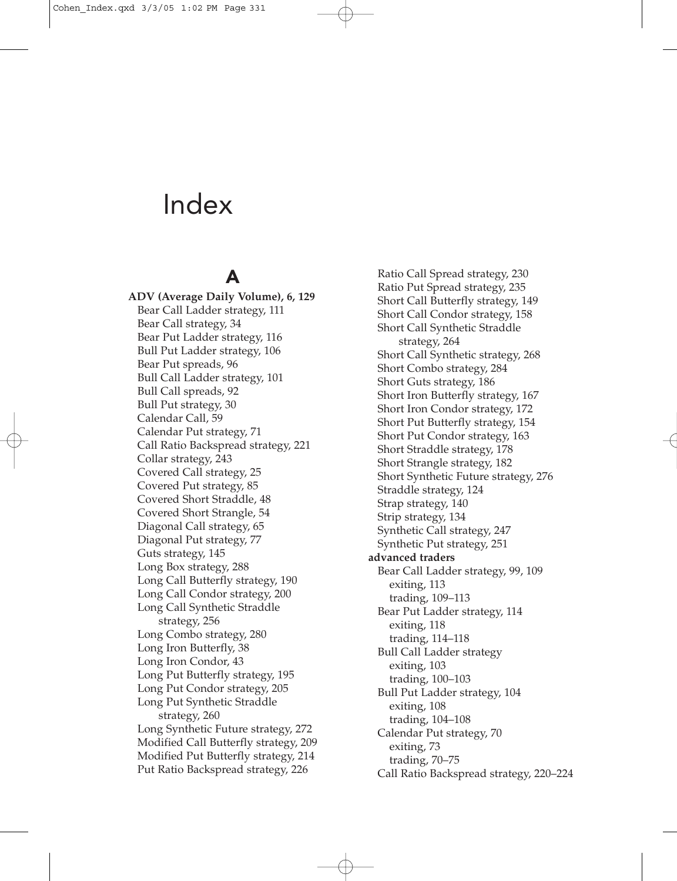# A

**ADV (Average Daily Volume), 6, 129** Bear Call Ladder strategy, 111 Bear Call strategy, 34 Bear Put Ladder strategy, 116 Bull Put Ladder strategy, 106 Bear Put spreads, 96 Bull Call Ladder strategy, 101 Bull Call spreads, 92 Bull Put strategy, 30 Calendar Call, 59 Calendar Put strategy, 71 Call Ratio Backspread strategy, 221 Collar strategy, 243 Covered Call strategy, 25 Covered Put strategy, 85 Covered Short Straddle, 48 Covered Short Strangle, 54 Diagonal Call strategy, 65 Diagonal Put strategy, 77 Guts strategy, 145 Long Box strategy, 288 Long Call Butterfly strategy, 190 Long Call Condor strategy, 200 Long Call Synthetic Straddle strategy, 256 Long Combo strategy, 280 Long Iron Butterfly, 38 Long Iron Condor, 43 Long Put Butterfly strategy, 195 Long Put Condor strategy, 205 Long Put Synthetic Straddle strategy, 260 Long Synthetic Future strategy, 272 Modified Call Butterfly strategy, 209 Modified Put Butterfly strategy, 214 Put Ratio Backspread strategy, 226

Ratio Call Spread strategy, 230 Ratio Put Spread strategy, 235 Short Call Butterfly strategy, 149 Short Call Condor strategy, 158 Short Call Synthetic Straddle strategy, 264 Short Call Synthetic strategy, 268 Short Combo strategy, 284 Short Guts strategy, 186 Short Iron Butterfly strategy, 167 Short Iron Condor strategy, 172 Short Put Butterfly strategy, 154 Short Put Condor strategy, 163 Short Straddle strategy, 178 Short Strangle strategy, 182 Short Synthetic Future strategy, 276 Straddle strategy, 124 Strap strategy, 140 Strip strategy, 134 Synthetic Call strategy, 247 Synthetic Put strategy, 251 **advanced traders** Bear Call Ladder strategy, 99, 109 exiting, 113 trading, 109–113 Bear Put Ladder strategy, 114 exiting, 118 trading, 114–118 Bull Call Ladder strategy exiting, 103 trading, 100–103 Bull Put Ladder strategy, 104 exiting, 108 trading, 104–108 Calendar Put strategy, 70 exiting, 73 trading, 70–75 Call Ratio Backspread strategy, 220–224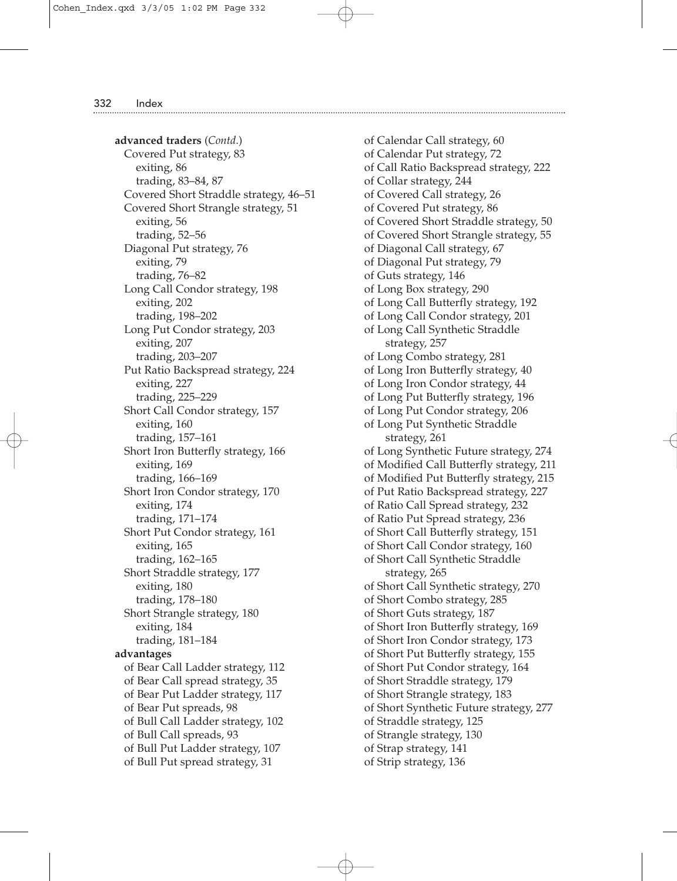**advanced traders** (*Contd*.) Covered Put strategy, 83 exiting, 86 trading, 83–84, 87 Covered Short Straddle strategy, 46–51 Covered Short Strangle strategy, 51 exiting, 56 trading, 52–56 Diagonal Put strategy, 76 exiting, 79 trading, 76–82 Long Call Condor strategy, 198 exiting, 202 trading, 198–202 Long Put Condor strategy, 203 exiting, 207 trading, 203–207 Put Ratio Backspread strategy, 224 exiting, 227 trading, 225–229 Short Call Condor strategy, 157 exiting, 160 trading, 157–161 Short Iron Butterfly strategy, 166 exiting, 169 trading, 166–169 Short Iron Condor strategy, 170 exiting, 174 trading, 171–174 Short Put Condor strategy, 161 exiting, 165 trading, 162–165 Short Straddle strategy, 177 exiting, 180 trading, 178–180 Short Strangle strategy, 180 exiting, 184 trading, 181–184 **advantages** of Bear Call Ladder strategy, 112 of Bear Call spread strategy, 35 of Bear Put Ladder strategy, 117 of Bear Put spreads, 98 of Bull Call Ladder strategy, 102 of Bull Call spreads, 93 of Bull Put Ladder strategy, 107 of Bull Put spread strategy, 31

of Calendar Call strategy, 60 of Calendar Put strategy, 72 of Call Ratio Backspread strategy, 222 of Collar strategy, 244 of Covered Call strategy, 26 of Covered Put strategy, 86 of Covered Short Straddle strategy, 50 of Covered Short Strangle strategy, 55 of Diagonal Call strategy, 67 of Diagonal Put strategy, 79 of Guts strategy, 146 of Long Box strategy, 290 of Long Call Butterfly strategy, 192 of Long Call Condor strategy, 201 of Long Call Synthetic Straddle strategy, 257 of Long Combo strategy, 281 of Long Iron Butterfly strategy, 40 of Long Iron Condor strategy, 44 of Long Put Butterfly strategy, 196 of Long Put Condor strategy, 206 of Long Put Synthetic Straddle strategy, 261 of Long Synthetic Future strategy, 274 of Modified Call Butterfly strategy, 211 of Modified Put Butterfly strategy, 215 of Put Ratio Backspread strategy, 227 of Ratio Call Spread strategy, 232 of Ratio Put Spread strategy, 236 of Short Call Butterfly strategy, 151 of Short Call Condor strategy, 160 of Short Call Synthetic Straddle strategy, 265 of Short Call Synthetic strategy, 270 of Short Combo strategy, 285 of Short Guts strategy, 187 of Short Iron Butterfly strategy, 169 of Short Iron Condor strategy, 173 of Short Put Butterfly strategy, 155 of Short Put Condor strategy, 164 of Short Straddle strategy, 179 of Short Strangle strategy, 183 of Short Synthetic Future strategy, 277 of Straddle strategy, 125 of Strangle strategy, 130 of Strap strategy, 141 of Strip strategy, 136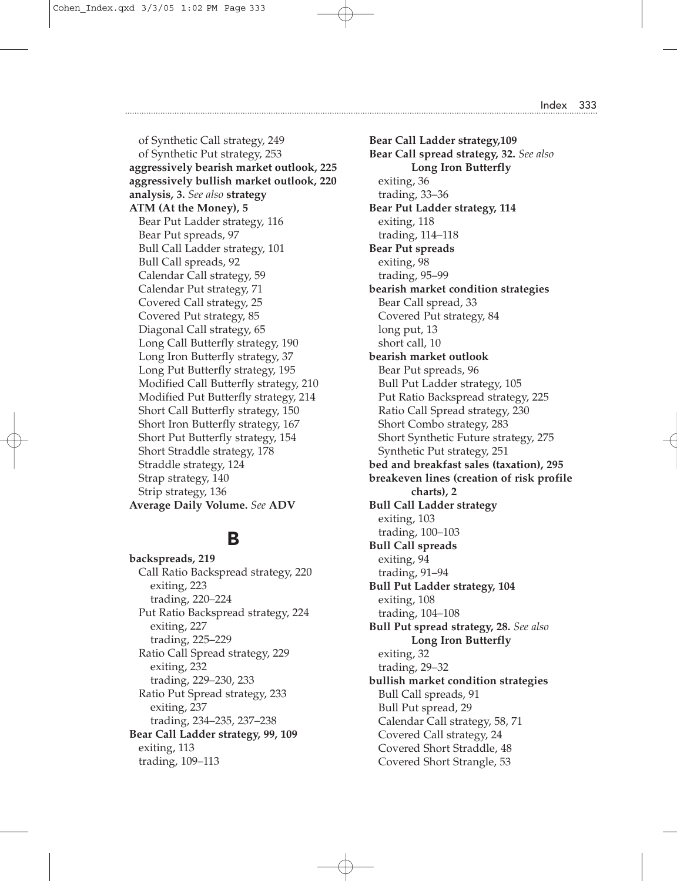of Synthetic Call strategy, 249 of Synthetic Put strategy, 253 **aggressively bearish market outlook, 225 aggressively bullish market outlook, 220 analysis, 3.** *See also* **strategy ATM (At the Money), 5** Bear Put Ladder strategy, 116 Bear Put spreads, 97 Bull Call Ladder strategy, 101 Bull Call spreads, 92 Calendar Call strategy, 59 Calendar Put strategy, 71 Covered Call strategy, 25 Covered Put strategy, 85 Diagonal Call strategy, 65 Long Call Butterfly strategy, 190 Long Iron Butterfly strategy, 37 Long Put Butterfly strategy, 195 Modified Call Butterfly strategy, 210 Modified Put Butterfly strategy, 214 Short Call Butterfly strategy, 150 Short Iron Butterfly strategy, 167 Short Put Butterfly strategy, 154 Short Straddle strategy, 178 Straddle strategy, 124 Strap strategy, 140 Strip strategy, 136 **Average Daily Volume.** *See* **ADV**

### B

**backspreads, 219** Call Ratio Backspread strategy, 220 exiting, 223 trading, 220–224 Put Ratio Backspread strategy, 224 exiting, 227 trading, 225–229 Ratio Call Spread strategy, 229 exiting, 232 trading, 229–230, 233 Ratio Put Spread strategy, 233 exiting, 237 trading, 234–235, 237–238 **Bear Call Ladder strategy, 99, 109** exiting, 113 trading, 109–113

**Bear Call Ladder strategy,109 Bear Call spread strategy, 32.** *See also* **Long Iron Butterfly** exiting, 36 trading, 33–36 **Bear Put Ladder strategy, 114** exiting, 118 trading, 114–118 **Bear Put spreads** exiting, 98 trading, 95–99 **bearish market condition strategies** Bear Call spread, 33 Covered Put strategy, 84 long put, 13 short call, 10 **bearish market outlook** Bear Put spreads, 96 Bull Put Ladder strategy, 105 Put Ratio Backspread strategy, 225 Ratio Call Spread strategy, 230 Short Combo strategy, 283 Short Synthetic Future strategy, 275 Synthetic Put strategy, 251 **bed and breakfast sales (taxation), 295 breakeven lines (creation of risk profile charts), 2 Bull Call Ladder strategy** exiting, 103 trading, 100–103 **Bull Call spreads** exiting, 94 trading, 91–94 **Bull Put Ladder strategy, 104** exiting, 108 trading, 104–108 **Bull Put spread strategy, 28.** *See also* **Long Iron Butterfly** exiting, 32 trading, 29–32 **bullish market condition strategies** Bull Call spreads, 91 Bull Put spread, 29 Calendar Call strategy, 58, 71 Covered Call strategy, 24 Covered Short Straddle, 48 Covered Short Strangle, 53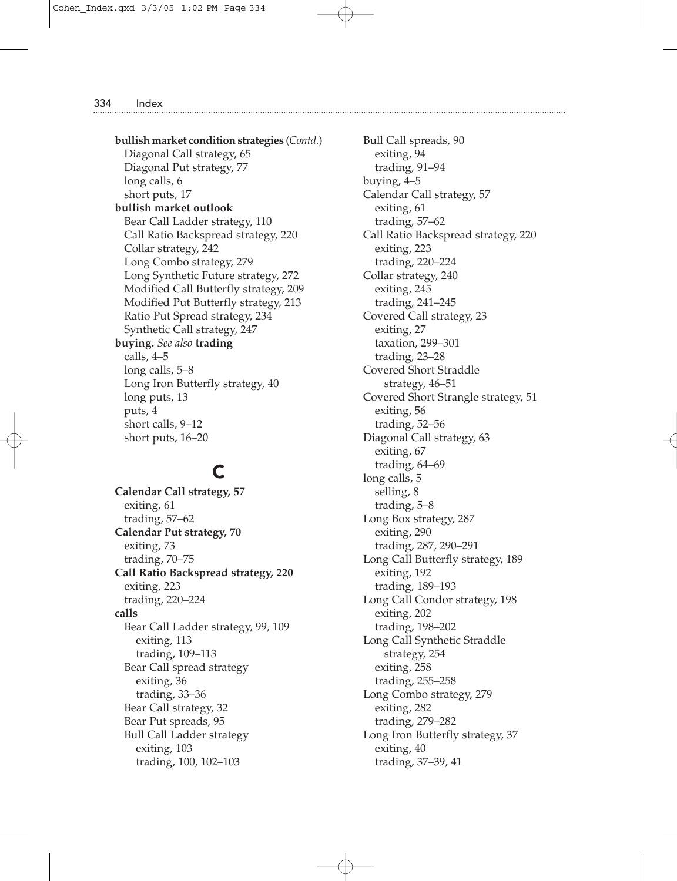**bullish market condition strategies** (*Contd*.) Diagonal Call strategy, 65 Diagonal Put strategy, 77 long calls, 6 short puts, 17 **bullish market outlook** Bear Call Ladder strategy, 110 Call Ratio Backspread strategy, 220 Collar strategy, 242 Long Combo strategy, 279 Long Synthetic Future strategy, 272 Modified Call Butterfly strategy, 209 Modified Put Butterfly strategy, 213 Ratio Put Spread strategy, 234 Synthetic Call strategy, 247 **buying.** *See also* **trading** calls, 4–5 long calls, 5–8 Long Iron Butterfly strategy, 40 long puts, 13 puts, 4 short calls, 9–12 short puts, 16–20

# C

**Calendar Call strategy, 57** exiting, 61 trading, 57–62 **Calendar Put strategy, 70** exiting, 73 trading, 70–75 **Call Ratio Backspread strategy, 220** exiting, 223 trading, 220–224 **calls** Bear Call Ladder strategy, 99, 109 exiting, 113 trading, 109–113 Bear Call spread strategy exiting, 36 trading, 33–36 Bear Call strategy, 32 Bear Put spreads, 95 Bull Call Ladder strategy exiting, 103 trading, 100, 102–103

Bull Call spreads, 90 exiting, 94 trading, 91–94 buying, 4–5 Calendar Call strategy, 57 exiting, 61 trading, 57–62 Call Ratio Backspread strategy, 220 exiting, 223 trading, 220–224 Collar strategy, 240 exiting, 245 trading, 241–245 Covered Call strategy, 23 exiting, 27 taxation, 299–301 trading, 23–28 Covered Short Straddle strategy, 46–51 Covered Short Strangle strategy, 51 exiting, 56 trading, 52–56 Diagonal Call strategy, 63 exiting, 67 trading, 64–69 long calls, 5 selling, 8 trading, 5–8 Long Box strategy, 287 exiting, 290 trading, 287, 290–291 Long Call Butterfly strategy, 189 exiting, 192 trading, 189–193 Long Call Condor strategy, 198 exiting, 202 trading, 198–202 Long Call Synthetic Straddle strategy, 254 exiting, 258 trading, 255–258 Long Combo strategy, 279 exiting, 282 trading, 279–282 Long Iron Butterfly strategy, 37 exiting, 40 trading, 37–39, 41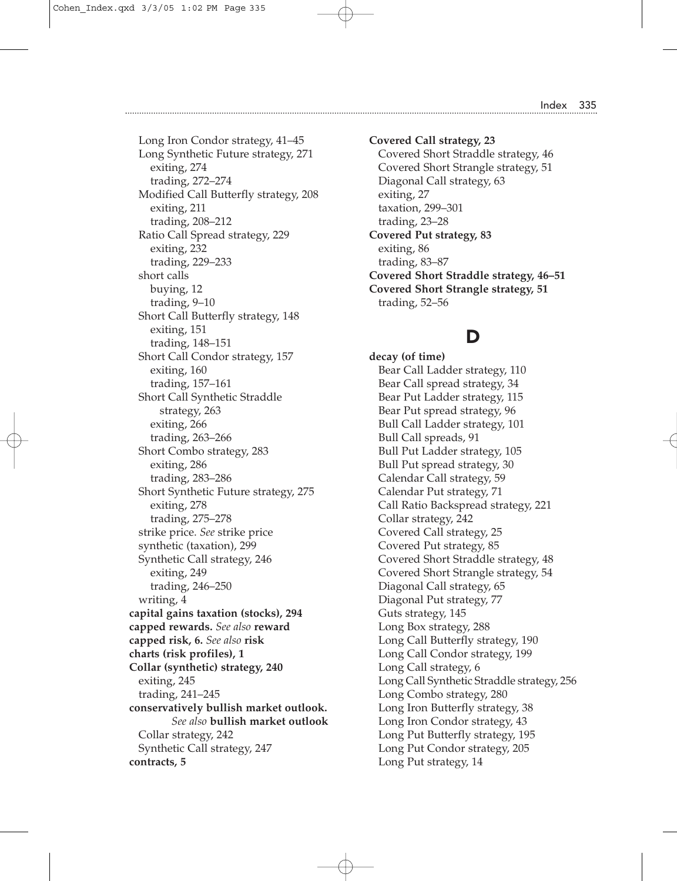Long Iron Condor strategy, 41–45 Long Synthetic Future strategy, 271 exiting, 274 trading, 272–274 Modified Call Butterfly strategy, 208 exiting, 211 trading, 208–212 Ratio Call Spread strategy, 229 exiting, 232 trading, 229–233 short calls buying, 12 trading, 9–10 Short Call Butterfly strategy, 148 exiting, 151 trading, 148–151 Short Call Condor strategy, 157 exiting, 160 trading, 157–161 Short Call Synthetic Straddle strategy, 263 exiting, 266 trading, 263–266 Short Combo strategy, 283 exiting, 286 trading, 283–286 Short Synthetic Future strategy, 275 exiting, 278 trading, 275–278 strike price. *See* strike price synthetic (taxation), 299 Synthetic Call strategy, 246 exiting, 249 trading, 246–250 writing, 4 **capital gains taxation (stocks), 294 capped rewards.** *See also* **reward capped risk, 6.** *See also* **risk charts (risk profiles), 1 Collar (synthetic) strategy, 240** exiting, 245 trading, 241–245 **conservatively bullish market outlook.** *See also* **bullish market outlook** Collar strategy, 242 Synthetic Call strategy, 247 **contracts, 5**

**Covered Call strategy, 23** Covered Short Straddle strategy, 46 Covered Short Strangle strategy, 51 Diagonal Call strategy, 63 exiting, 27 taxation, 299–301 trading, 23–28 **Covered Put strategy, 83** exiting, 86 trading, 83–87 **Covered Short Straddle strategy, 46–51 Covered Short Strangle strategy, 51** trading, 52–56

### D

**decay (of time)** Bear Call Ladder strategy, 110 Bear Call spread strategy, 34 Bear Put Ladder strategy, 115 Bear Put spread strategy, 96 Bull Call Ladder strategy, 101 Bull Call spreads, 91 Bull Put Ladder strategy, 105 Bull Put spread strategy, 30 Calendar Call strategy, 59 Calendar Put strategy, 71 Call Ratio Backspread strategy, 221 Collar strategy, 242 Covered Call strategy, 25 Covered Put strategy, 85 Covered Short Straddle strategy, 48 Covered Short Strangle strategy, 54 Diagonal Call strategy, 65 Diagonal Put strategy, 77 Guts strategy, 145 Long Box strategy, 288 Long Call Butterfly strategy, 190 Long Call Condor strategy, 199 Long Call strategy, 6 Long Call Synthetic Straddle strategy, 256 Long Combo strategy, 280 Long Iron Butterfly strategy, 38 Long Iron Condor strategy, 43 Long Put Butterfly strategy, 195 Long Put Condor strategy, 205 Long Put strategy, 14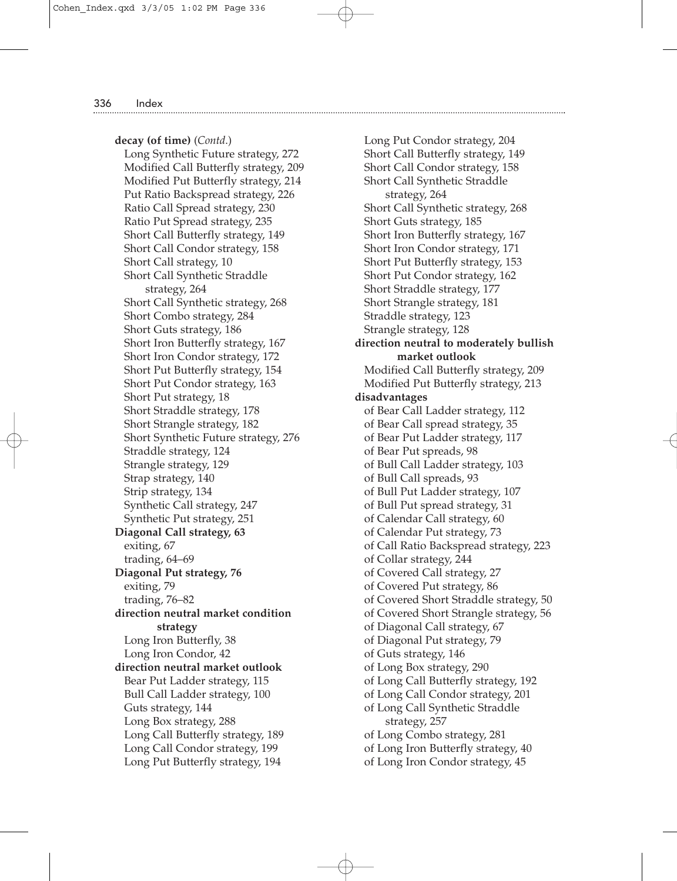**decay (of time)** (*Contd*.) Long Synthetic Future strategy, 272 Modified Call Butterfly strategy, 209 Modified Put Butterfly strategy, 214 Put Ratio Backspread strategy, 226 Ratio Call Spread strategy, 230 Ratio Put Spread strategy, 235 Short Call Butterfly strategy, 149 Short Call Condor strategy, 158 Short Call strategy, 10 Short Call Synthetic Straddle strategy, 264 Short Call Synthetic strategy, 268 Short Combo strategy, 284 Short Guts strategy, 186 Short Iron Butterfly strategy, 167 Short Iron Condor strategy, 172 Short Put Butterfly strategy, 154 Short Put Condor strategy, 163 Short Put strategy, 18 Short Straddle strategy, 178 Short Strangle strategy, 182 Short Synthetic Future strategy, 276 Straddle strategy, 124 Strangle strategy, 129 Strap strategy, 140 Strip strategy, 134 Synthetic Call strategy, 247 Synthetic Put strategy, 251 **Diagonal Call strategy, 63** exiting, 67 trading, 64–69 **Diagonal Put strategy, 76** exiting, 79 trading, 76–82 **direction neutral market condition strategy** Long Iron Butterfly, 38 Long Iron Condor, 42 **direction neutral market outlook** Bear Put Ladder strategy, 115 Bull Call Ladder strategy, 100 Guts strategy, 144 Long Box strategy, 288 Long Call Butterfly strategy, 189 Long Call Condor strategy, 199 Long Put Butterfly strategy, 194

Long Put Condor strategy, 204 Short Call Butterfly strategy, 149 Short Call Condor strategy, 158 Short Call Synthetic Straddle strategy, 264 Short Call Synthetic strategy, 268 Short Guts strategy, 185 Short Iron Butterfly strategy, 167 Short Iron Condor strategy, 171 Short Put Butterfly strategy, 153 Short Put Condor strategy, 162 Short Straddle strategy, 177 Short Strangle strategy, 181 Straddle strategy, 123 Strangle strategy, 128 **direction neutral to moderately bullish market outlook** Modified Call Butterfly strategy, 209 Modified Put Butterfly strategy, 213 **disadvantages** of Bear Call Ladder strategy, 112 of Bear Call spread strategy, 35 of Bear Put Ladder strategy, 117 of Bear Put spreads, 98 of Bull Call Ladder strategy, 103 of Bull Call spreads, 93 of Bull Put Ladder strategy, 107 of Bull Put spread strategy, 31 of Calendar Call strategy, 60 of Calendar Put strategy, 73 of Call Ratio Backspread strategy, 223 of Collar strategy, 244 of Covered Call strategy, 27 of Covered Put strategy, 86 of Covered Short Straddle strategy, 50 of Covered Short Strangle strategy, 56 of Diagonal Call strategy, 67 of Diagonal Put strategy, 79 of Guts strategy, 146 of Long Box strategy, 290 of Long Call Butterfly strategy, 192 of Long Call Condor strategy, 201 of Long Call Synthetic Straddle strategy, 257 of Long Combo strategy, 281 of Long Iron Butterfly strategy, 40 of Long Iron Condor strategy, 45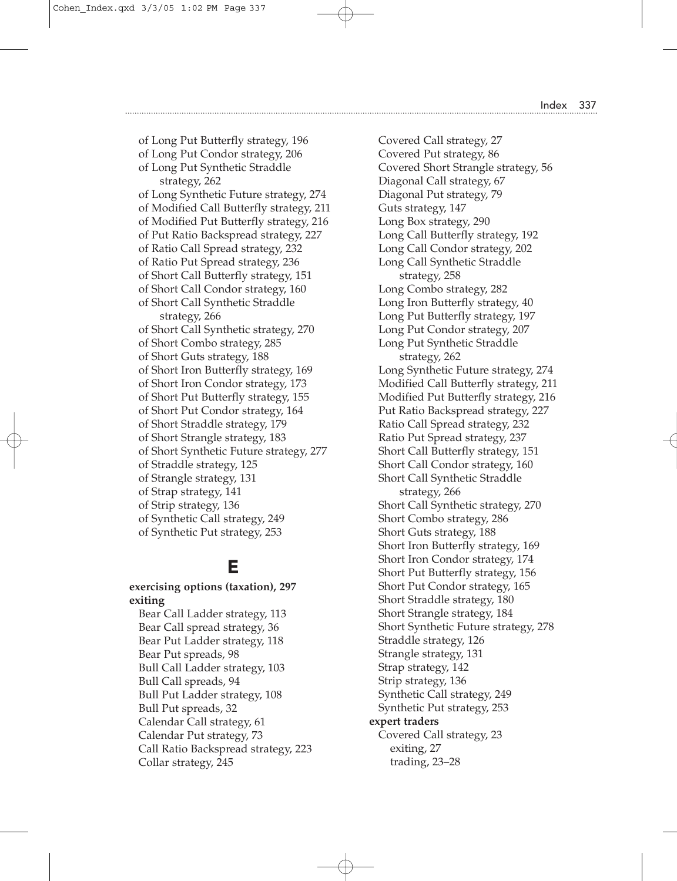of Long Put Condor strategy, 206 of Long Put Synthetic Straddle strategy, 262 of Long Synthetic Future strategy, 274 of Modified Call Butterfly strategy, 211 of Modified Put Butterfly strategy, 216 of Put Ratio Backspread strategy, 227 of Ratio Call Spread strategy, 232 of Ratio Put Spread strategy, 236 of Short Call Butterfly strategy, 151 of Short Call Condor strategy, 160 of Short Call Synthetic Straddle strategy, 266 of Short Call Synthetic strategy, 270 of Short Combo strategy, 285 of Short Guts strategy, 188 of Short Iron Butterfly strategy, 169 of Short Iron Condor strategy, 173 of Short Put Butterfly strategy, 155 of Short Put Condor strategy, 164 of Short Straddle strategy, 179 of Short Strangle strategy, 183 of Short Synthetic Future strategy, 277 of Straddle strategy, 125 of Strangle strategy, 131 of Strap strategy, 141 of Strip strategy, 136 of Synthetic Call strategy, 249 of Synthetic Put strategy, 253

of Long Put Butterfly strategy, 196

### E

### **exercising options (taxation), 297 exiting**

Bear Call Ladder strategy, 113 Bear Call spread strategy, 36 Bear Put Ladder strategy, 118 Bear Put spreads, 98 Bull Call Ladder strategy, 103 Bull Call spreads, 94 Bull Put Ladder strategy, 108 Bull Put spreads, 32 Calendar Call strategy, 61 Calendar Put strategy, 73 Call Ratio Backspread strategy, 223 Collar strategy, 245

Covered Call strategy, 27 Covered Put strategy, 86 Covered Short Strangle strategy, 56 Diagonal Call strategy, 67 Diagonal Put strategy, 79 Guts strategy, 147 Long Box strategy, 290 Long Call Butterfly strategy, 192 Long Call Condor strategy, 202 Long Call Synthetic Straddle strategy, 258 Long Combo strategy, 282 Long Iron Butterfly strategy, 40 Long Put Butterfly strategy, 197 Long Put Condor strategy, 207 Long Put Synthetic Straddle strategy, 262 Long Synthetic Future strategy, 274 Modified Call Butterfly strategy, 211 Modified Put Butterfly strategy, 216 Put Ratio Backspread strategy, 227 Ratio Call Spread strategy, 232 Ratio Put Spread strategy, 237 Short Call Butterfly strategy, 151 Short Call Condor strategy, 160 Short Call Synthetic Straddle strategy, 266 Short Call Synthetic strategy, 270 Short Combo strategy, 286 Short Guts strategy, 188 Short Iron Butterfly strategy, 169 Short Iron Condor strategy, 174 Short Put Butterfly strategy, 156 Short Put Condor strategy, 165 Short Straddle strategy, 180 Short Strangle strategy, 184 Short Synthetic Future strategy, 278 Straddle strategy, 126 Strangle strategy, 131 Strap strategy, 142 Strip strategy, 136 Synthetic Call strategy, 249 Synthetic Put strategy, 253 **expert traders** Covered Call strategy, 23 exiting, 27 trading, 23–28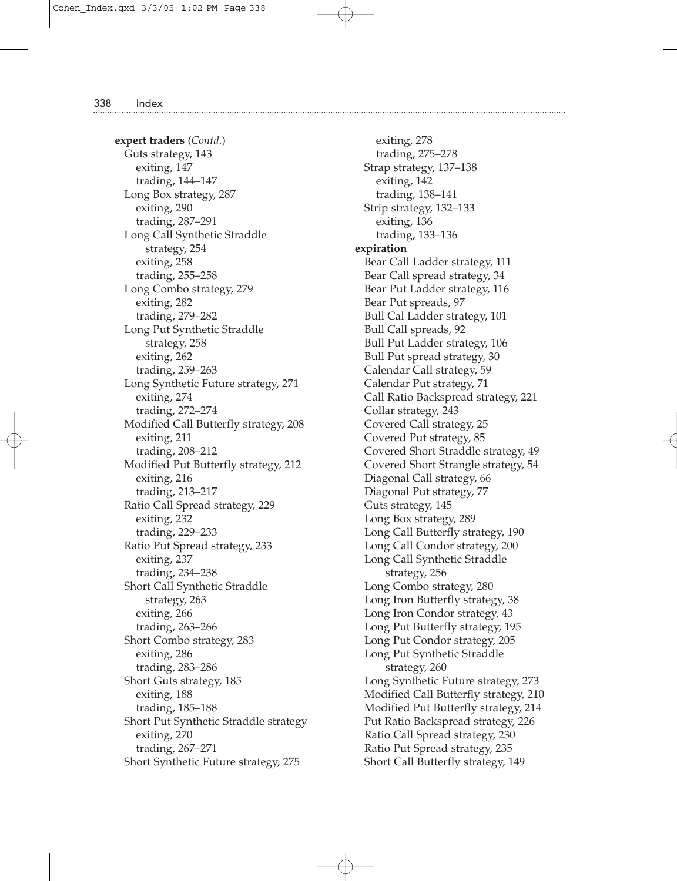**expert traders** (*Contd*.) Guts strategy, 143 exiting, 147 trading, 144–147 Long Box strategy, 287 exiting, 290 trading, 287–291 Long Call Synthetic Straddle strategy, 254 exiting, 258 trading, 255–258 Long Combo strategy, 279 exiting, 282 trading, 279–282 Long Put Synthetic Straddle strategy, 258 exiting, 262 trading, 259–263 Long Synthetic Future strategy, 271 exiting, 274 trading, 272–274 Modified Call Butterfly strategy, 208 exiting, 211 trading, 208–212 Modified Put Butterfly strategy, 212 exiting, 216 trading, 213–217 Ratio Call Spread strategy, 229 exiting, 232 trading, 229–233 Ratio Put Spread strategy, 233 exiting, 237 trading, 234–238 Short Call Synthetic Straddle strategy, 263 exiting, 266 trading, 263–266 Short Combo strategy, 283 exiting, 286 trading, 283–286 Short Guts strategy, 185 exiting, 188 trading, 185–188 Short Put Synthetic Straddle strategy exiting, 270 trading, 267–271 Short Synthetic Future strategy, 275

exiting, 278 trading, 275–278 Strap strategy, 137–138 exiting, 142 trading, 138–141 Strip strategy, 132–133 exiting, 136 trading, 133–136 **expiration** Bear Call Ladder strategy, 111 Bear Call spread strategy, 34 Bear Put Ladder strategy, 116 Bear Put spreads, 97 Bull Cal Ladder strategy, 101 Bull Call spreads, 92 Bull Put Ladder strategy, 106 Bull Put spread strategy, 30 Calendar Call strategy, 59 Calendar Put strategy, 71 Call Ratio Backspread strategy, 221 Collar strategy, 243 Covered Call strategy, 25 Covered Put strategy, 85 Covered Short Straddle strategy, 49 Covered Short Strangle strategy, 54 Diagonal Call strategy, 66 Diagonal Put strategy, 77 Guts strategy, 145 Long Box strategy, 289 Long Call Butterfly strategy, 190 Long Call Condor strategy, 200 Long Call Synthetic Straddle strategy, 256 Long Combo strategy, 280 Long Iron Butterfly strategy, 38 Long Iron Condor strategy, 43 Long Put Butterfly strategy, 195 Long Put Condor strategy, 205 Long Put Synthetic Straddle strategy, 260 Long Synthetic Future strategy, 273 Modified Call Butterfly strategy, 210 Modified Put Butterfly strategy, 214 Put Ratio Backspread strategy, 226 Ratio Call Spread strategy, 230 Ratio Put Spread strategy, 235 Short Call Butterfly strategy, 149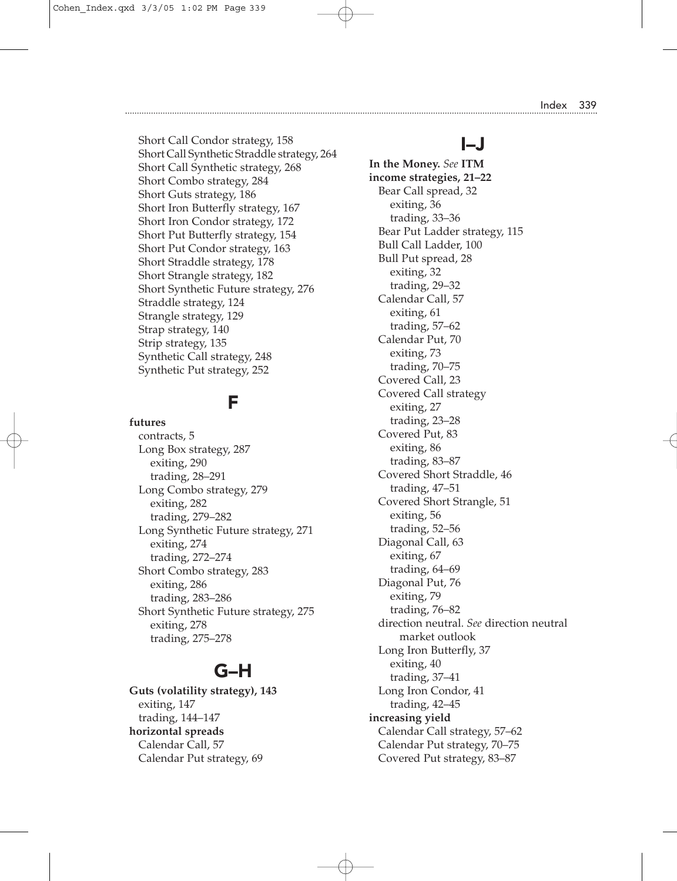Short Call Condor strategy, 158 Short Call Synthetic Straddle strategy, 264 Short Call Synthetic strategy, 268 Short Combo strategy, 284 Short Guts strategy, 186 Short Iron Butterfly strategy, 167 Short Iron Condor strategy, 172 Short Put Butterfly strategy, 154 Short Put Condor strategy, 163 Short Straddle strategy, 178 Short Strangle strategy, 182 Short Synthetic Future strategy, 276 Straddle strategy, 124 Strangle strategy, 129 Strap strategy, 140 Strip strategy, 135 Synthetic Call strategy, 248 Synthetic Put strategy, 252

### F

**futures** contracts, 5 Long Box strategy, 287 exiting, 290 trading, 28–291 Long Combo strategy, 279 exiting, 282 trading, 279–282 Long Synthetic Future strategy, 271 exiting, 274 trading, 272–274 Short Combo strategy, 283 exiting, 286 trading, 283–286 Short Synthetic Future strategy, 275 exiting, 278 trading, 275–278

# G–H

**Guts (volatility strategy), 143** exiting, 147 trading, 144–147 **horizontal spreads** Calendar Call, 57 Calendar Put strategy, 69

# I–J

**In the Money.** *See* **ITM income strategies, 21–22** Bear Call spread, 32 exiting, 36 trading, 33–36 Bear Put Ladder strategy, 115 Bull Call Ladder, 100 Bull Put spread, 28 exiting, 32 trading, 29–32 Calendar Call, 57 exiting, 61 trading, 57–62 Calendar Put, 70 exiting, 73 trading, 70–75 Covered Call, 23 Covered Call strategy exiting, 27 trading, 23–28 Covered Put, 83 exiting, 86 trading, 83–87 Covered Short Straddle, 46 trading, 47–51 Covered Short Strangle, 51 exiting, 56 trading, 52–56 Diagonal Call, 63 exiting, 67 trading, 64–69 Diagonal Put, 76 exiting, 79 trading, 76–82 direction neutral. *See* direction neutral market outlook Long Iron Butterfly, 37 exiting, 40 trading, 37–41 Long Iron Condor, 41 trading, 42–45 **increasing yield** Calendar Call strategy, 57–62 Calendar Put strategy, 70–75 Covered Put strategy, 83–87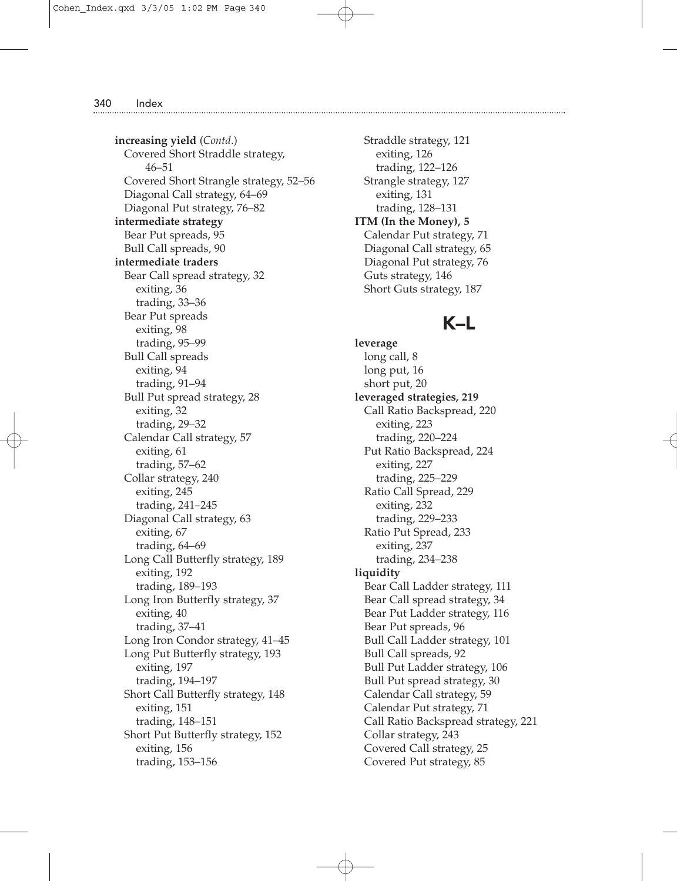**increasing yield** (*Contd*.) Covered Short Straddle strategy, 46–51 Covered Short Strangle strategy, 52–56 Diagonal Call strategy, 64–69 Diagonal Put strategy, 76–82 **intermediate strategy** Bear Put spreads, 95 Bull Call spreads, 90 **intermediate traders** Bear Call spread strategy, 32 exiting, 36 trading, 33–36 Bear Put spreads exiting, 98 trading, 95–99 Bull Call spreads exiting, 94 trading, 91–94 Bull Put spread strategy, 28 exiting, 32 trading, 29–32 Calendar Call strategy, 57 exiting, 61 trading, 57–62 Collar strategy, 240 exiting, 245 trading, 241–245 Diagonal Call strategy, 63 exiting, 67 trading, 64–69 Long Call Butterfly strategy, 189 exiting, 192 trading, 189–193 Long Iron Butterfly strategy, 37 exiting, 40 trading, 37–41 Long Iron Condor strategy, 41–45 Long Put Butterfly strategy, 193 exiting, 197 trading, 194–197 Short Call Butterfly strategy, 148 exiting, 151 trading, 148–151 Short Put Butterfly strategy, 152 exiting, 156 trading, 153–156

Straddle strategy, 121 exiting, 126 trading, 122–126 Strangle strategy, 127 exiting, 131 trading, 128–131 **ITM (In the Money), 5** Calendar Put strategy, 71 Diagonal Call strategy, 65 Diagonal Put strategy, 76 Guts strategy, 146 Short Guts strategy, 187

### K–L

**leverage** long call, 8 long put, 16 short put, 20 **leveraged strategies, 219** Call Ratio Backspread, 220 exiting, 223 trading, 220–224 Put Ratio Backspread, 224 exiting, 227 trading, 225–229 Ratio Call Spread, 229 exiting, 232 trading, 229–233 Ratio Put Spread, 233 exiting, 237 trading, 234–238 **liquidity** Bear Call Ladder strategy, 111 Bear Call spread strategy, 34 Bear Put Ladder strategy, 116 Bear Put spreads, 96 Bull Call Ladder strategy, 101 Bull Call spreads, 92 Bull Put Ladder strategy, 106 Bull Put spread strategy, 30 Calendar Call strategy, 59 Calendar Put strategy, 71 Call Ratio Backspread strategy, 221 Collar strategy, 243 Covered Call strategy, 25 Covered Put strategy, 85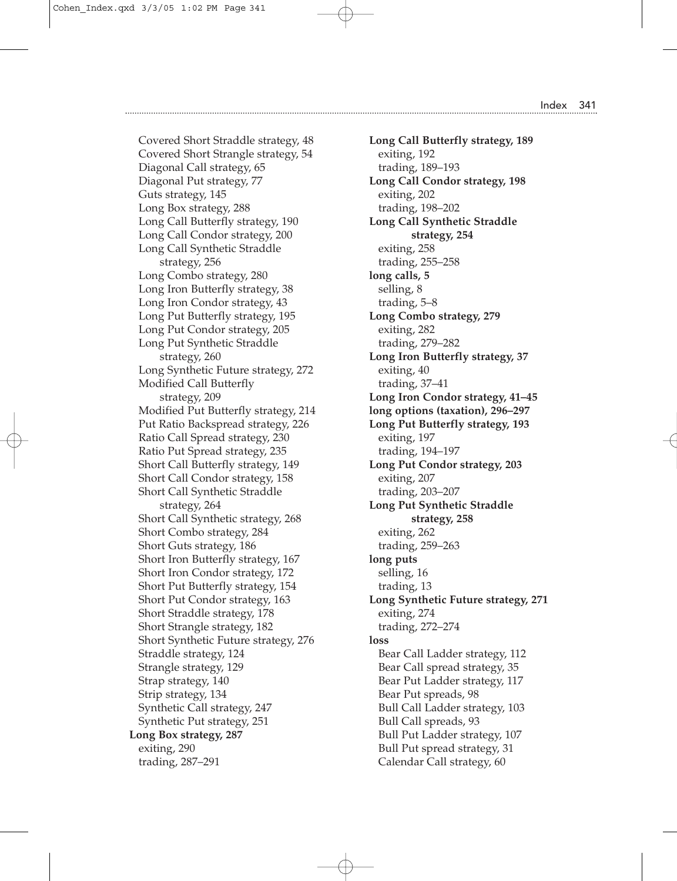Covered Short Straddle strategy, 48 Covered Short Strangle strategy, 54 Diagonal Call strategy, 65 Diagonal Put strategy, 77 Guts strategy, 145 Long Box strategy, 288 Long Call Butterfly strategy, 190 Long Call Condor strategy, 200 Long Call Synthetic Straddle strategy, 256 Long Combo strategy, 280 Long Iron Butterfly strategy, 38 Long Iron Condor strategy, 43 Long Put Butterfly strategy, 195 Long Put Condor strategy, 205 Long Put Synthetic Straddle strategy, 260 Long Synthetic Future strategy, 272 Modified Call Butterfly strategy, 209 Modified Put Butterfly strategy, 214 Put Ratio Backspread strategy, 226 Ratio Call Spread strategy, 230 Ratio Put Spread strategy, 235 Short Call Butterfly strategy, 149 Short Call Condor strategy, 158 Short Call Synthetic Straddle strategy, 264 Short Call Synthetic strategy, 268 Short Combo strategy, 284 Short Guts strategy, 186 Short Iron Butterfly strategy, 167 Short Iron Condor strategy, 172 Short Put Butterfly strategy, 154 Short Put Condor strategy, 163 Short Straddle strategy, 178 Short Strangle strategy, 182 Short Synthetic Future strategy, 276 Straddle strategy, 124 Strangle strategy, 129 Strap strategy, 140 Strip strategy, 134 Synthetic Call strategy, 247 Synthetic Put strategy, 251 **Long Box strategy, 287** exiting, 290 trading, 287–291

**Long Call Butterfly strategy, 189** exiting, 192 trading, 189–193 **Long Call Condor strategy, 198** exiting, 202 trading, 198–202 **Long Call Synthetic Straddle strategy, 254** exiting, 258 trading, 255–258 **long calls, 5** selling, 8 trading, 5–8 **Long Combo strategy, 279** exiting, 282 trading, 279–282 **Long Iron Butterfly strategy, 37** exiting, 40 trading, 37–41 **Long Iron Condor strategy, 41–45 long options (taxation), 296–297 Long Put Butterfly strategy, 193** exiting, 197 trading, 194–197 **Long Put Condor strategy, 203** exiting, 207 trading, 203–207 **Long Put Synthetic Straddle strategy, 258** exiting, 262 trading, 259–263 **long puts** selling, 16 trading, 13 **Long Synthetic Future strategy, 271** exiting, 274 trading, 272–274 **loss** Bear Call Ladder strategy, 112 Bear Call spread strategy, 35 Bear Put Ladder strategy, 117 Bear Put spreads, 98 Bull Call Ladder strategy, 103 Bull Call spreads, 93 Bull Put Ladder strategy, 107 Bull Put spread strategy, 31 Calendar Call strategy, 60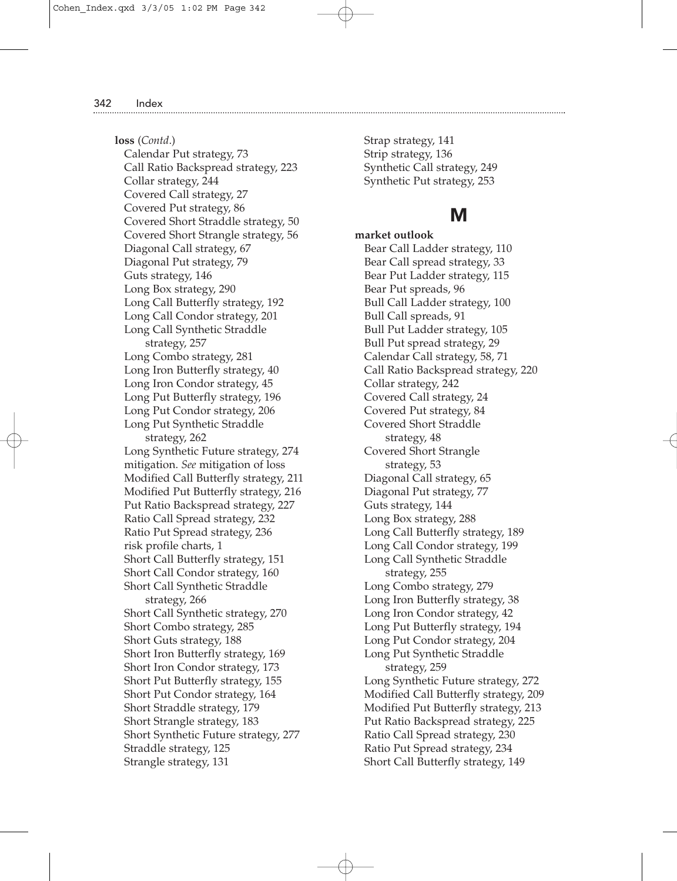**loss** (*Contd*.) Calendar Put strategy, 73 Call Ratio Backspread strategy, 223 Collar strategy, 244 Covered Call strategy, 27 Covered Put strategy, 86 Covered Short Straddle strategy, 50 Covered Short Strangle strategy, 56 Diagonal Call strategy, 67 Diagonal Put strategy, 79 Guts strategy, 146 Long Box strategy, 290 Long Call Butterfly strategy, 192 Long Call Condor strategy, 201 Long Call Synthetic Straddle strategy, 257 Long Combo strategy, 281 Long Iron Butterfly strategy, 40 Long Iron Condor strategy, 45 Long Put Butterfly strategy, 196 Long Put Condor strategy, 206 Long Put Synthetic Straddle strategy, 262 Long Synthetic Future strategy, 274 mitigation. *See* mitigation of loss Modified Call Butterfly strategy, 211 Modified Put Butterfly strategy, 216 Put Ratio Backspread strategy, 227 Ratio Call Spread strategy, 232 Ratio Put Spread strategy, 236 risk profile charts, 1 Short Call Butterfly strategy, 151 Short Call Condor strategy, 160 Short Call Synthetic Straddle strategy, 266 Short Call Synthetic strategy, 270 Short Combo strategy, 285 Short Guts strategy, 188 Short Iron Butterfly strategy, 169 Short Iron Condor strategy, 173 Short Put Butterfly strategy, 155 Short Put Condor strategy, 164 Short Straddle strategy, 179 Short Strangle strategy, 183 Short Synthetic Future strategy, 277 Straddle strategy, 125 Strangle strategy, 131

Strap strategy, 141 Strip strategy, 136 Synthetic Call strategy, 249 Synthetic Put strategy, 253

### M

**market outlook** Bear Call Ladder strategy, 110 Bear Call spread strategy, 33 Bear Put Ladder strategy, 115 Bear Put spreads, 96 Bull Call Ladder strategy, 100 Bull Call spreads, 91 Bull Put Ladder strategy, 105 Bull Put spread strategy, 29 Calendar Call strategy, 58, 71 Call Ratio Backspread strategy, 220 Collar strategy, 242 Covered Call strategy, 24 Covered Put strategy, 84 Covered Short Straddle strategy, 48 Covered Short Strangle strategy, 53 Diagonal Call strategy, 65 Diagonal Put strategy, 77 Guts strategy, 144 Long Box strategy, 288 Long Call Butterfly strategy, 189 Long Call Condor strategy, 199 Long Call Synthetic Straddle strategy, 255 Long Combo strategy, 279 Long Iron Butterfly strategy, 38 Long Iron Condor strategy, 42 Long Put Butterfly strategy, 194 Long Put Condor strategy, 204 Long Put Synthetic Straddle strategy, 259 Long Synthetic Future strategy, 272 Modified Call Butterfly strategy, 209 Modified Put Butterfly strategy, 213 Put Ratio Backspread strategy, 225 Ratio Call Spread strategy, 230 Ratio Put Spread strategy, 234 Short Call Butterfly strategy, 149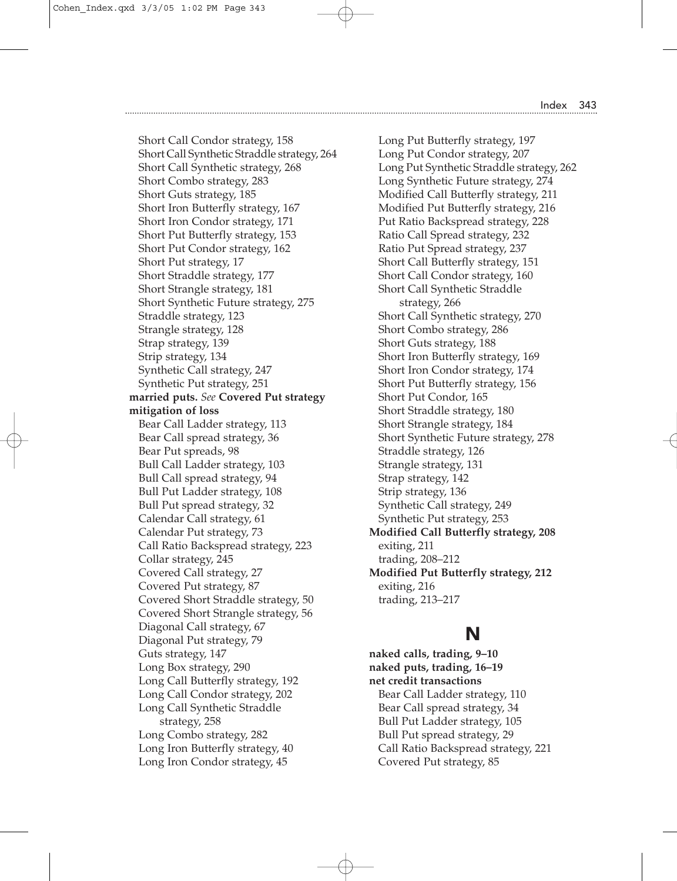Short Call Condor strategy, 158 Short Call Synthetic Straddle strategy, 264 Short Call Synthetic strategy, 268 Short Combo strategy, 283 Short Guts strategy, 185 Short Iron Butterfly strategy, 167 Short Iron Condor strategy, 171 Short Put Butterfly strategy, 153 Short Put Condor strategy, 162 Short Put strategy, 17 Short Straddle strategy, 177 Short Strangle strategy, 181 Short Synthetic Future strategy, 275 Straddle strategy, 123 Strangle strategy, 128 Strap strategy, 139 Strip strategy, 134 Synthetic Call strategy, 247 Synthetic Put strategy, 251 **married puts.** *See* **Covered Put strategy mitigation of loss** Bear Call Ladder strategy, 113 Bear Call spread strategy, 36 Bear Put spreads, 98 Bull Call Ladder strategy, 103 Bull Call spread strategy, 94 Bull Put Ladder strategy, 108 Bull Put spread strategy, 32 Calendar Call strategy, 61 Calendar Put strategy, 73 Call Ratio Backspread strategy, 223 Collar strategy, 245 Covered Call strategy, 27 Covered Put strategy, 87 Covered Short Straddle strategy, 50 Covered Short Strangle strategy, 56 Diagonal Call strategy, 67 Diagonal Put strategy, 79 Guts strategy, 147 Long Box strategy, 290 Long Call Butterfly strategy, 192 Long Call Condor strategy, 202 Long Call Synthetic Straddle strategy, 258 Long Combo strategy, 282 Long Iron Butterfly strategy, 40 Long Iron Condor strategy, 45

Long Put Butterfly strategy, 197 Long Put Condor strategy, 207 Long Put Synthetic Straddle strategy, 262 Long Synthetic Future strategy, 274 Modified Call Butterfly strategy, 211 Modified Put Butterfly strategy, 216 Put Ratio Backspread strategy, 228 Ratio Call Spread strategy, 232 Ratio Put Spread strategy, 237 Short Call Butterfly strategy, 151 Short Call Condor strategy, 160 Short Call Synthetic Straddle strategy, 266 Short Call Synthetic strategy, 270 Short Combo strategy, 286 Short Guts strategy, 188 Short Iron Butterfly strategy, 169 Short Iron Condor strategy, 174 Short Put Butterfly strategy, 156 Short Put Condor, 165 Short Straddle strategy, 180 Short Strangle strategy, 184 Short Synthetic Future strategy, 278 Straddle strategy, 126 Strangle strategy, 131 Strap strategy, 142 Strip strategy, 136 Synthetic Call strategy, 249 Synthetic Put strategy, 253 **Modified Call Butterfly strategy, 208** exiting, 211 trading, 208–212 **Modified Put Butterfly strategy, 212** exiting, 216 trading, 213–217

### N

**naked calls, trading, 9–10 naked puts, trading, 16–19 net credit transactions** Bear Call Ladder strategy, 110 Bear Call spread strategy, 34 Bull Put Ladder strategy, 105 Bull Put spread strategy, 29 Call Ratio Backspread strategy, 221 Covered Put strategy, 85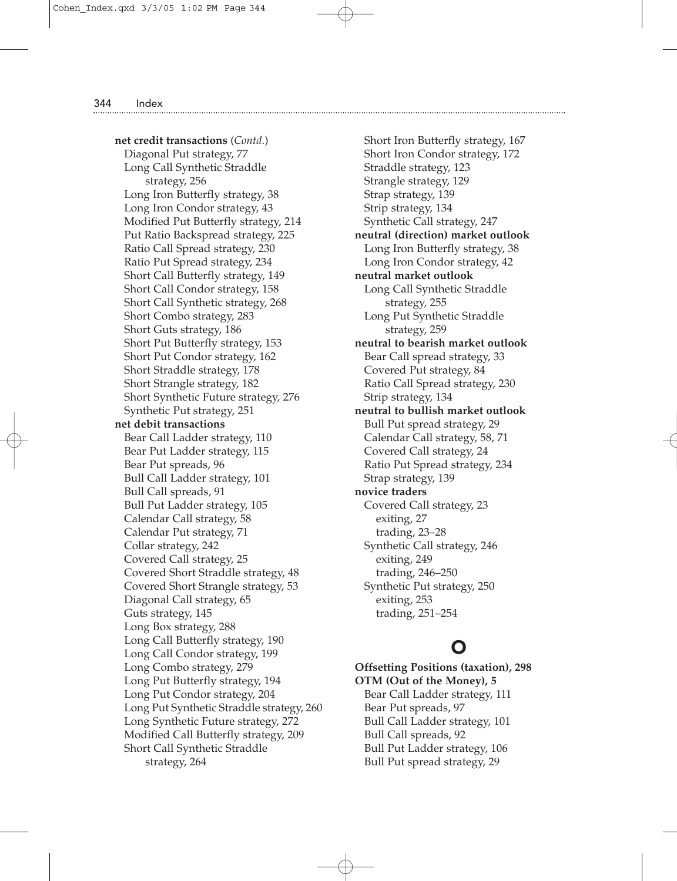**net credit transactions** (*Contd*.) Diagonal Put strategy, 77 Long Call Synthetic Straddle strategy, 256 Long Iron Butterfly strategy, 38 Long Iron Condor strategy, 43 Modified Put Butterfly strategy, 214 Put Ratio Backspread strategy, 225 Ratio Call Spread strategy, 230 Ratio Put Spread strategy, 234 Short Call Butterfly strategy, 149 Short Call Condor strategy, 158 Short Call Synthetic strategy, 268 Short Combo strategy, 283 Short Guts strategy, 186 Short Put Butterfly strategy, 153 Short Put Condor strategy, 162 Short Straddle strategy, 178 Short Strangle strategy, 182 Short Synthetic Future strategy, 276 Synthetic Put strategy, 251 **net debit transactions** Bear Call Ladder strategy, 110 Bear Put Ladder strategy, 115 Bear Put spreads, 96 Bull Call Ladder strategy, 101 Bull Call spreads, 91 Bull Put Ladder strategy, 105 Calendar Call strategy, 58 Calendar Put strategy, 71 Collar strategy, 242 Covered Call strategy, 25 Covered Short Straddle strategy, 48 Covered Short Strangle strategy, 53 Diagonal Call strategy, 65 Guts strategy, 145 Long Box strategy, 288 Long Call Butterfly strategy, 190 Long Call Condor strategy, 199 Long Combo strategy, 279 Long Put Butterfly strategy, 194 Long Put Condor strategy, 204 Long Put Synthetic Straddle strategy, 260 Long Synthetic Future strategy, 272 Modified Call Butterfly strategy, 209 Short Call Synthetic Straddle strategy, 264

Short Iron Butterfly strategy, 167 Short Iron Condor strategy, 172 Straddle strategy, 123 Strangle strategy, 129 Strap strategy, 139 Strip strategy, 134 Synthetic Call strategy, 247 **neutral (direction) market outlook** Long Iron Butterfly strategy, 38 Long Iron Condor strategy, 42 **neutral market outlook** Long Call Synthetic Straddle strategy, 255 Long Put Synthetic Straddle strategy, 259 **neutral to bearish market outlook** Bear Call spread strategy, 33 Covered Put strategy, 84 Ratio Call Spread strategy, 230 Strip strategy, 134 **neutral to bullish market outlook** Bull Put spread strategy, 29 Calendar Call strategy, 58, 71 Covered Call strategy, 24 Ratio Put Spread strategy, 234 Strap strategy, 139 **novice traders** Covered Call strategy, 23 exiting, 27 trading, 23–28 Synthetic Call strategy, 246 exiting, 249 trading, 246–250 Synthetic Put strategy, 250 exiting, 253 trading, 251–254

# O

**Offsetting Positions (taxation), 298 OTM (Out of the Money), 5** Bear Call Ladder strategy, 111 Bear Put spreads, 97 Bull Call Ladder strategy, 101 Bull Call spreads, 92 Bull Put Ladder strategy, 106 Bull Put spread strategy, 29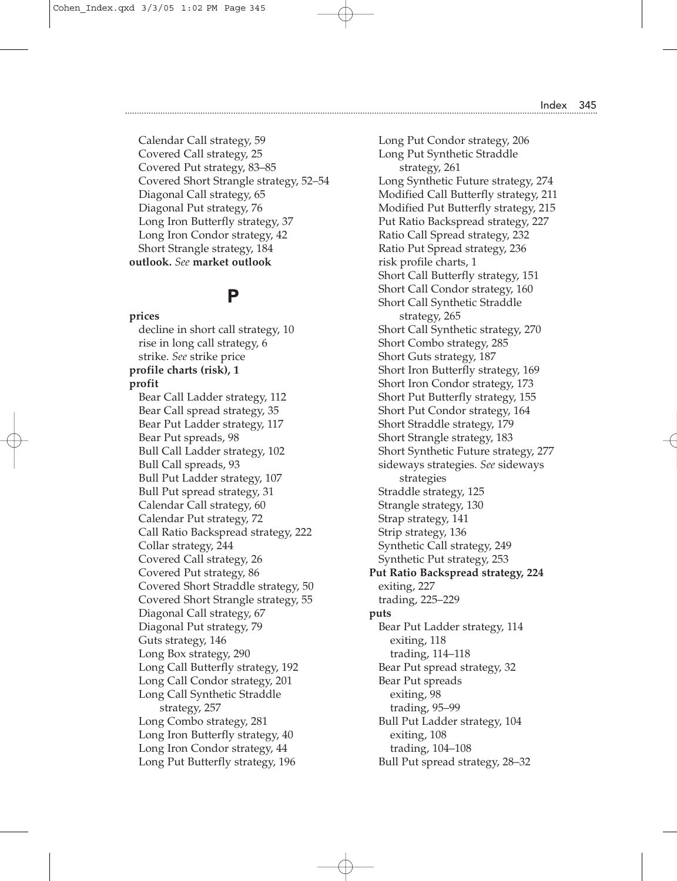Calendar Call strategy, 59 Covered Call strategy, 25 Covered Put strategy, 83–85 Covered Short Strangle strategy, 52–54 Diagonal Call strategy, 65 Diagonal Put strategy, 76 Long Iron Butterfly strategy, 37 Long Iron Condor strategy, 42 Short Strangle strategy, 184 **outlook.** *See* **market outlook**

### P

**prices** decline in short call strategy, 10 rise in long call strategy, 6 strike. *See* strike price **profile charts (risk), 1 profit** Bear Call Ladder strategy, 112 Bear Call spread strategy, 35 Bear Put Ladder strategy, 117 Bear Put spreads, 98 Bull Call Ladder strategy, 102 Bull Call spreads, 93 Bull Put Ladder strategy, 107 Bull Put spread strategy, 31 Calendar Call strategy, 60 Calendar Put strategy, 72 Call Ratio Backspread strategy, 222 Collar strategy, 244 Covered Call strategy, 26 Covered Put strategy, 86 Covered Short Straddle strategy, 50 Covered Short Strangle strategy, 55 Diagonal Call strategy, 67 Diagonal Put strategy, 79 Guts strategy, 146 Long Box strategy, 290 Long Call Butterfly strategy, 192 Long Call Condor strategy, 201 Long Call Synthetic Straddle strategy, 257 Long Combo strategy, 281 Long Iron Butterfly strategy, 40 Long Iron Condor strategy, 44 Long Put Butterfly strategy, 196

Long Put Condor strategy, 206 Long Put Synthetic Straddle strategy, 261 Long Synthetic Future strategy, 274 Modified Call Butterfly strategy, 211 Modified Put Butterfly strategy, 215 Put Ratio Backspread strategy, 227 Ratio Call Spread strategy, 232 Ratio Put Spread strategy, 236 risk profile charts, 1 Short Call Butterfly strategy, 151 Short Call Condor strategy, 160 Short Call Synthetic Straddle strategy, 265 Short Call Synthetic strategy, 270 Short Combo strategy, 285 Short Guts strategy, 187 Short Iron Butterfly strategy, 169 Short Iron Condor strategy, 173 Short Put Butterfly strategy, 155 Short Put Condor strategy, 164 Short Straddle strategy, 179 Short Strangle strategy, 183 Short Synthetic Future strategy, 277 sideways strategies. *See* sideways strategies Straddle strategy, 125 Strangle strategy, 130 Strap strategy, 141 Strip strategy, 136 Synthetic Call strategy, 249 Synthetic Put strategy, 253 **Put Ratio Backspread strategy, 224** exiting, 227 trading, 225–229 **puts** Bear Put Ladder strategy, 114 exiting, 118 trading, 114–118 Bear Put spread strategy, 32 Bear Put spreads exiting, 98 trading, 95–99 Bull Put Ladder strategy, 104 exiting, 108 trading, 104–108 Bull Put spread strategy, 28–32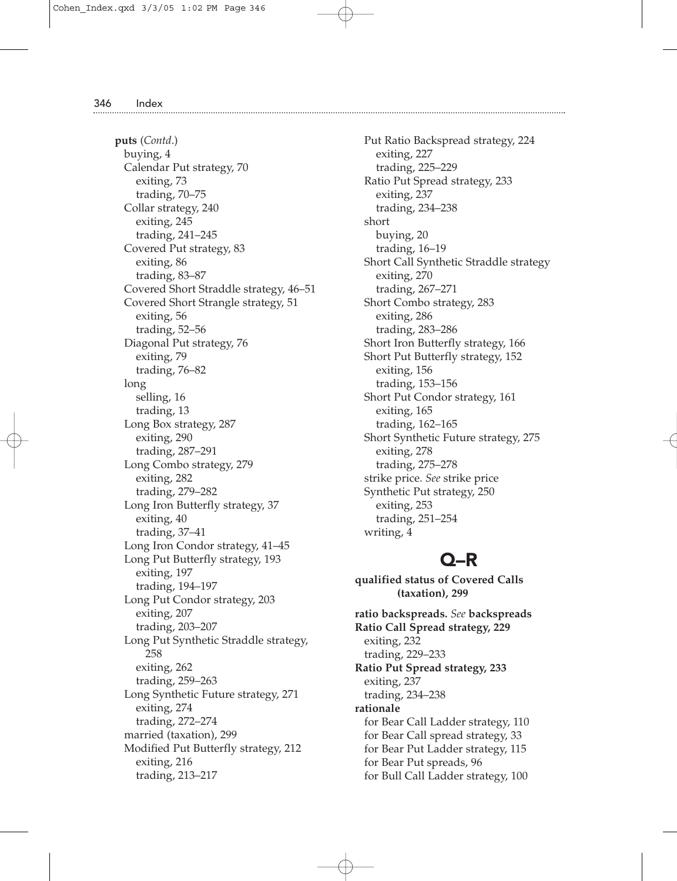**puts** (*Contd*.) buying, 4 Calendar Put strategy, 70 exiting, 73 trading, 70–75 Collar strategy, 240 exiting, 245 trading, 241–245 Covered Put strategy, 83 exiting, 86 trading, 83–87 Covered Short Straddle strategy, 46–51 Covered Short Strangle strategy, 51 exiting, 56 trading, 52–56 Diagonal Put strategy, 76 exiting, 79 trading, 76–82 long selling, 16 trading, 13 Long Box strategy, 287 exiting, 290 trading, 287–291 Long Combo strategy, 279 exiting, 282 trading, 279–282 Long Iron Butterfly strategy, 37 exiting, 40 trading, 37–41 Long Iron Condor strategy, 41–45 Long Put Butterfly strategy, 193 exiting, 197 trading, 194–197 Long Put Condor strategy, 203 exiting, 207 trading, 203–207 Long Put Synthetic Straddle strategy, 258 exiting, 262 trading, 259–263 Long Synthetic Future strategy, 271 exiting, 274 trading, 272–274 married (taxation), 299 Modified Put Butterfly strategy, 212 exiting, 216 trading, 213–217

Put Ratio Backspread strategy, 224 exiting, 227 trading, 225–229 Ratio Put Spread strategy, 233 exiting, 237 trading, 234–238 short buying, 20 trading, 16–19 Short Call Synthetic Straddle strategy exiting, 270 trading, 267–271 Short Combo strategy, 283 exiting, 286 trading, 283–286 Short Iron Butterfly strategy, 166 Short Put Butterfly strategy, 152 exiting, 156 trading, 153–156 Short Put Condor strategy, 161 exiting, 165 trading, 162–165 Short Synthetic Future strategy, 275 exiting, 278 trading, 275–278 strike price. *See* strike price Synthetic Put strategy, 250 exiting, 253 trading, 251–254 writing, 4

### Q–R

**qualified status of Covered Calls (taxation), 299**

**ratio backspreads.** *See* **backspreads Ratio Call Spread strategy, 229** exiting, 232 trading, 229–233 **Ratio Put Spread strategy, 233** exiting, 237 trading, 234–238 **rationale** for Bear Call Ladder strategy, 110 for Bear Call spread strategy, 33 for Bear Put Ladder strategy, 115 for Bear Put spreads, 96 for Bull Call Ladder strategy, 100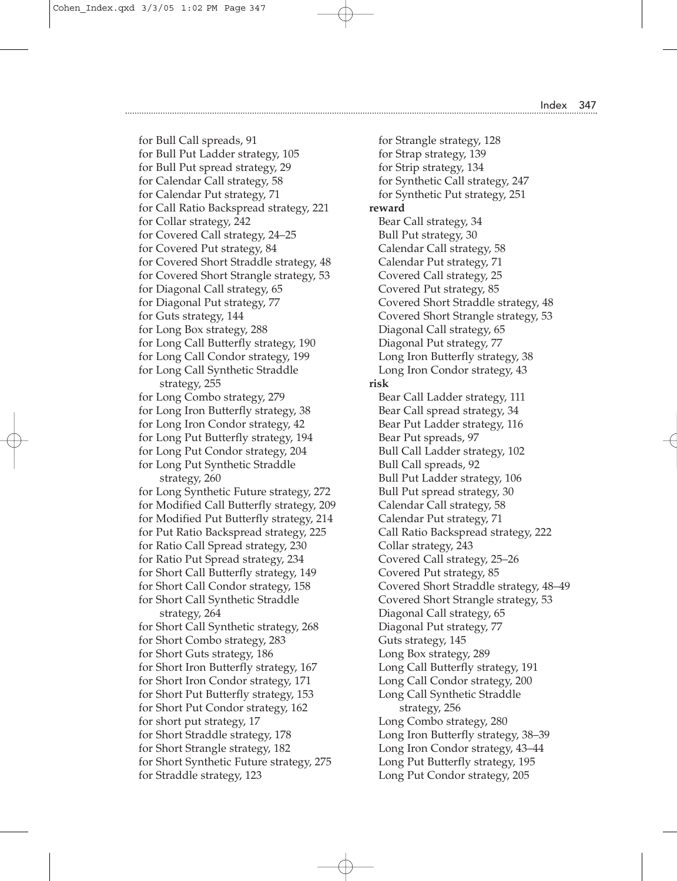Cohen\_Index.qxd 3/3/05 1:02 PM Page 347

Index 347

for Bull Call spreads, 91 for Bull Put Ladder strategy, 105 for Bull Put spread strategy, 29 for Calendar Call strategy, 58 for Calendar Put strategy, 71 for Call Ratio Backspread strategy, 221 for Collar strategy, 242 for Covered Call strategy, 24–25 for Covered Put strategy, 84 for Covered Short Straddle strategy, 48 for Covered Short Strangle strategy, 53 for Diagonal Call strategy, 65 for Diagonal Put strategy, 77 for Guts strategy, 144 for Long Box strategy, 288 for Long Call Butterfly strategy, 190 for Long Call Condor strategy, 199 for Long Call Synthetic Straddle strategy, 255 for Long Combo strategy, 279 for Long Iron Butterfly strategy, 38 for Long Iron Condor strategy, 42 for Long Put Butterfly strategy, 194 for Long Put Condor strategy, 204 for Long Put Synthetic Straddle strategy, 260 for Long Synthetic Future strategy, 272 for Modified Call Butterfly strategy, 209 for Modified Put Butterfly strategy, 214 for Put Ratio Backspread strategy, 225 for Ratio Call Spread strategy, 230 for Ratio Put Spread strategy, 234 for Short Call Butterfly strategy, 149 for Short Call Condor strategy, 158 for Short Call Synthetic Straddle strategy, 264 for Short Call Synthetic strategy, 268 for Short Combo strategy, 283 for Short Guts strategy, 186 for Short Iron Butterfly strategy, 167 for Short Iron Condor strategy, 171 for Short Put Butterfly strategy, 153 for Short Put Condor strategy, 162 for short put strategy, 17 for Short Straddle strategy, 178 for Short Strangle strategy, 182 for Short Synthetic Future strategy, 275 for Straddle strategy, 123

for Strangle strategy, 128 for Strap strategy, 139 for Strip strategy, 134 for Synthetic Call strategy, 247 for Synthetic Put strategy, 251 **reward** Bear Call strategy, 34 Bull Put strategy, 30 Calendar Call strategy, 58 Calendar Put strategy, 71 Covered Call strategy, 25 Covered Put strategy, 85 Covered Short Straddle strategy, 48 Covered Short Strangle strategy, 53 Diagonal Call strategy, 65 Diagonal Put strategy, 77 Long Iron Butterfly strategy, 38 Long Iron Condor strategy, 43 **risk** Bear Call Ladder strategy, 111 Bear Call spread strategy, 34 Bear Put Ladder strategy, 116 Bear Put spreads, 97 Bull Call Ladder strategy, 102 Bull Call spreads, 92 Bull Put Ladder strategy, 106 Bull Put spread strategy, 30 Calendar Call strategy, 58 Calendar Put strategy, 71 Call Ratio Backspread strategy, 222 Collar strategy, 243 Covered Call strategy, 25–26 Covered Put strategy, 85 Covered Short Straddle strategy, 48–49 Covered Short Strangle strategy, 53 Diagonal Call strategy, 65 Diagonal Put strategy, 77 Guts strategy, 145 Long Box strategy, 289 Long Call Butterfly strategy, 191 Long Call Condor strategy, 200 Long Call Synthetic Straddle strategy, 256 Long Combo strategy, 280 Long Iron Butterfly strategy, 38–39 Long Iron Condor strategy, 43–44 Long Put Butterfly strategy, 195 Long Put Condor strategy, 205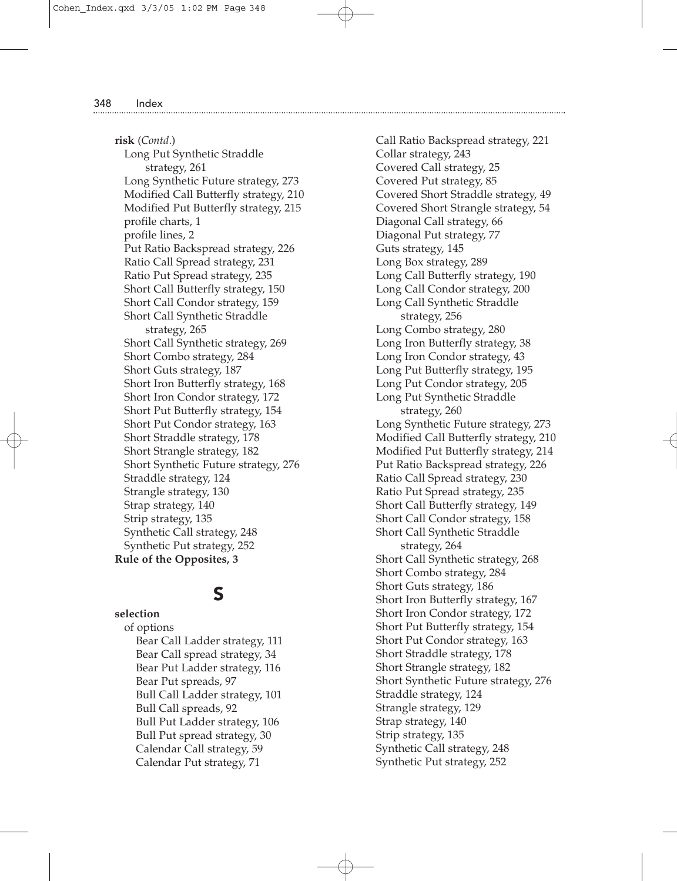**risk** (*Contd*.) Long Put Synthetic Straddle strategy, 261 Long Synthetic Future strategy, 273 Modified Call Butterfly strategy, 210 Modified Put Butterfly strategy, 215 profile charts, 1 profile lines, 2 Put Ratio Backspread strategy, 226 Ratio Call Spread strategy, 231 Ratio Put Spread strategy, 235 Short Call Butterfly strategy, 150 Short Call Condor strategy, 159 Short Call Synthetic Straddle strategy, 265 Short Call Synthetic strategy, 269 Short Combo strategy, 284 Short Guts strategy, 187 Short Iron Butterfly strategy, 168 Short Iron Condor strategy, 172 Short Put Butterfly strategy, 154 Short Put Condor strategy, 163 Short Straddle strategy, 178 Short Strangle strategy, 182 Short Synthetic Future strategy, 276 Straddle strategy, 124 Strangle strategy, 130 Strap strategy, 140 Strip strategy, 135 Synthetic Call strategy, 248 Synthetic Put strategy, 252 **Rule of the Opposites, 3**

### S

**selection** of options Bear Call Ladder strategy, 111 Bear Call spread strategy, 34 Bear Put Ladder strategy, 116 Bear Put spreads, 97 Bull Call Ladder strategy, 101 Bull Call spreads, 92 Bull Put Ladder strategy, 106 Bull Put spread strategy, 30 Calendar Call strategy, 59 Calendar Put strategy, 71

Call Ratio Backspread strategy, 221 Collar strategy, 243 Covered Call strategy, 25 Covered Put strategy, 85 Covered Short Straddle strategy, 49 Covered Short Strangle strategy, 54 Diagonal Call strategy, 66 Diagonal Put strategy, 77 Guts strategy, 145 Long Box strategy, 289 Long Call Butterfly strategy, 190 Long Call Condor strategy, 200 Long Call Synthetic Straddle strategy, 256 Long Combo strategy, 280 Long Iron Butterfly strategy, 38 Long Iron Condor strategy, 43 Long Put Butterfly strategy, 195 Long Put Condor strategy, 205 Long Put Synthetic Straddle strategy, 260 Long Synthetic Future strategy, 273 Modified Call Butterfly strategy, 210 Modified Put Butterfly strategy, 214 Put Ratio Backspread strategy, 226 Ratio Call Spread strategy, 230 Ratio Put Spread strategy, 235 Short Call Butterfly strategy, 149 Short Call Condor strategy, 158 Short Call Synthetic Straddle strategy, 264 Short Call Synthetic strategy, 268 Short Combo strategy, 284 Short Guts strategy, 186 Short Iron Butterfly strategy, 167 Short Iron Condor strategy, 172 Short Put Butterfly strategy, 154 Short Put Condor strategy, 163 Short Straddle strategy, 178 Short Strangle strategy, 182 Short Synthetic Future strategy, 276 Straddle strategy, 124 Strangle strategy, 129 Strap strategy, 140 Strip strategy, 135 Synthetic Call strategy, 248 Synthetic Put strategy, 252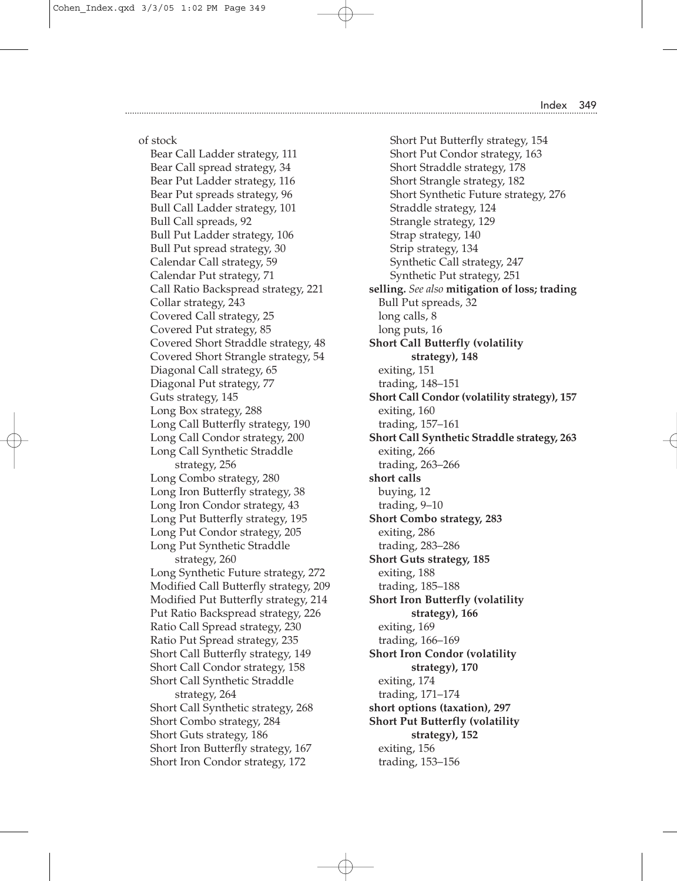of stock

Bear Call Ladder strategy, 111 Bear Call spread strategy, 34 Bear Put Ladder strategy, 116 Bear Put spreads strategy, 96 Bull Call Ladder strategy, 101 Bull Call spreads, 92 Bull Put Ladder strategy, 106 Bull Put spread strategy, 30 Calendar Call strategy, 59 Calendar Put strategy, 71 Call Ratio Backspread strategy, 221 Collar strategy, 243 Covered Call strategy, 25 Covered Put strategy, 85 Covered Short Straddle strategy, 48 Covered Short Strangle strategy, 54 Diagonal Call strategy, 65 Diagonal Put strategy, 77 Guts strategy, 145 Long Box strategy, 288 Long Call Butterfly strategy, 190 Long Call Condor strategy, 200 Long Call Synthetic Straddle strategy, 256 Long Combo strategy, 280 Long Iron Butterfly strategy, 38 Long Iron Condor strategy, 43 Long Put Butterfly strategy, 195 Long Put Condor strategy, 205 Long Put Synthetic Straddle strategy, 260 Long Synthetic Future strategy, 272 Modified Call Butterfly strategy, 209 Modified Put Butterfly strategy, 214 Put Ratio Backspread strategy, 226 Ratio Call Spread strategy, 230 Ratio Put Spread strategy, 235 Short Call Butterfly strategy, 149 Short Call Condor strategy, 158 Short Call Synthetic Straddle strategy, 264 Short Call Synthetic strategy, 268 Short Combo strategy, 284 Short Guts strategy, 186 Short Iron Butterfly strategy, 167 Short Iron Condor strategy, 172

Short Put Butterfly strategy, 154 Short Put Condor strategy, 163 Short Straddle strategy, 178 Short Strangle strategy, 182 Short Synthetic Future strategy, 276 Straddle strategy, 124 Strangle strategy, 129 Strap strategy, 140 Strip strategy, 134 Synthetic Call strategy, 247 Synthetic Put strategy, 251 **selling.** *See also* **mitigation of loss; trading** Bull Put spreads, 32 long calls, 8 long puts, 16 **Short Call Butterfly (volatility strategy), 148** exiting, 151 trading, 148–151 **Short Call Condor (volatility strategy), 157** exiting, 160 trading, 157–161 **Short Call Synthetic Straddle strategy, 263** exiting, 266 trading, 263–266 **short calls** buying, 12 trading, 9–10 **Short Combo strategy, 283** exiting, 286 trading, 283–286 **Short Guts strategy, 185** exiting, 188 trading, 185–188 **Short Iron Butterfly (volatility strategy), 166** exiting, 169 trading, 166–169 **Short Iron Condor (volatility strategy), 170** exiting, 174 trading, 171–174 **short options (taxation), 297 Short Put Butterfly (volatility strategy), 152** exiting, 156 trading, 153–156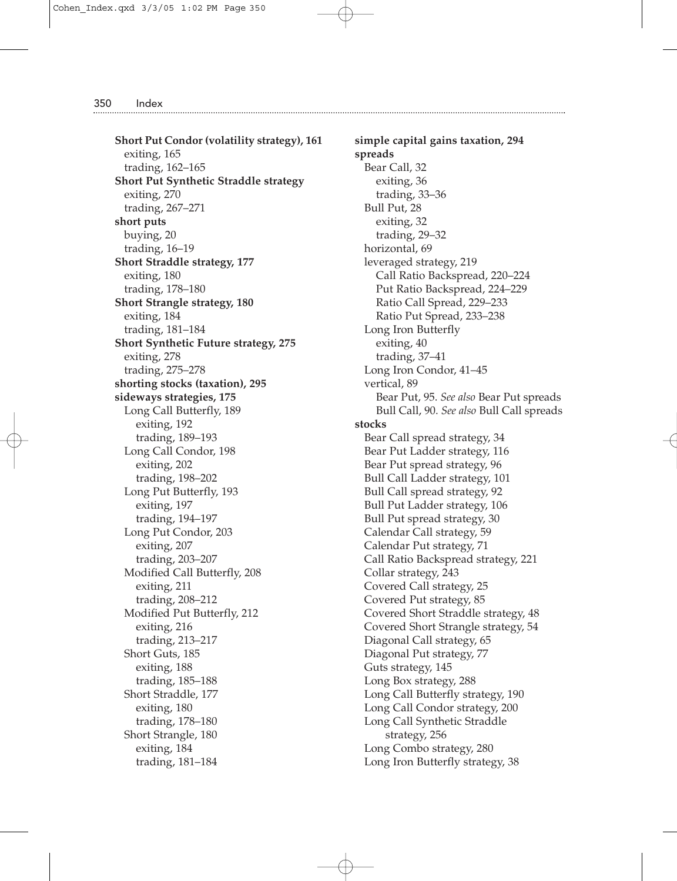**Short Put Condor (volatility strategy), 161** exiting, 165 trading, 162–165 **Short Put Synthetic Straddle strategy** exiting, 270 trading, 267–271 **short puts** buying, 20 trading, 16–19 **Short Straddle strategy, 177** exiting, 180 trading, 178–180 **Short Strangle strategy, 180** exiting, 184 trading, 181–184 **Short Synthetic Future strategy, 275** exiting, 278 trading, 275–278 **shorting stocks (taxation), 295 sideways strategies, 175** Long Call Butterfly, 189 exiting, 192 trading, 189–193 Long Call Condor, 198 exiting, 202 trading, 198–202 Long Put Butterfly, 193 exiting, 197 trading, 194–197 Long Put Condor, 203 exiting, 207 trading, 203–207 Modified Call Butterfly, 208 exiting, 211 trading, 208–212 Modified Put Butterfly, 212 exiting, 216 trading, 213–217 Short Guts, 185 exiting, 188 trading, 185–188 Short Straddle, 177 exiting, 180 trading, 178–180 Short Strangle, 180 exiting, 184 trading, 181–184

**simple capital gains taxation, 294 spreads** Bear Call, 32 exiting, 36 trading, 33–36 Bull Put, 28 exiting, 32 trading, 29–32 horizontal, 69 leveraged strategy, 219 Call Ratio Backspread, 220–224 Put Ratio Backspread, 224–229 Ratio Call Spread, 229–233 Ratio Put Spread, 233–238 Long Iron Butterfly exiting, 40 trading, 37–41 Long Iron Condor, 41–45 vertical, 89 Bear Put, 95. *See also* Bear Put spreads Bull Call, 90. *See also* Bull Call spreads **stocks** Bear Call spread strategy, 34 Bear Put Ladder strategy, 116 Bear Put spread strategy, 96 Bull Call Ladder strategy, 101 Bull Call spread strategy, 92 Bull Put Ladder strategy, 106 Bull Put spread strategy, 30 Calendar Call strategy, 59 Calendar Put strategy, 71 Call Ratio Backspread strategy, 221 Collar strategy, 243 Covered Call strategy, 25 Covered Put strategy, 85 Covered Short Straddle strategy, 48 Covered Short Strangle strategy, 54 Diagonal Call strategy, 65 Diagonal Put strategy, 77 Guts strategy, 145 Long Box strategy, 288 Long Call Butterfly strategy, 190 Long Call Condor strategy, 200 Long Call Synthetic Straddle strategy, 256 Long Combo strategy, 280 Long Iron Butterfly strategy, 38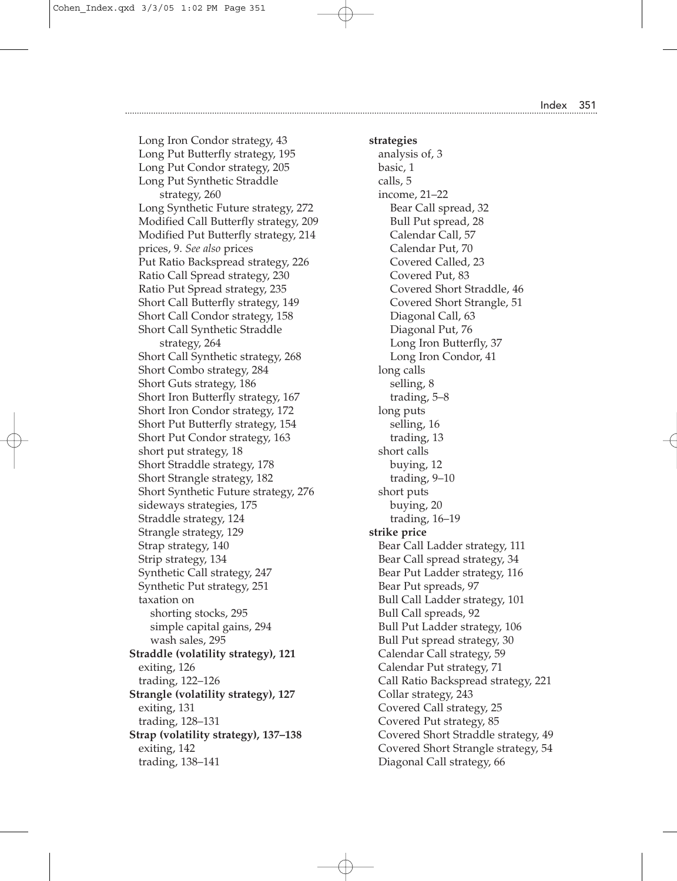Long Iron Condor strategy, 43

Long Put Condor strategy, 205 Long Put Synthetic Straddle strategy, 260

trading, 138–141

Long Put Butterfly strategy, 195 Long Synthetic Future strategy, 272 Modified Call Butterfly strategy, 209 **strategies** analysis of, 3 basic, 1 calls, 5 long calls long puts short calls

Modified Put Butterfly strategy, 214 prices, 9. *See also* prices Put Ratio Backspread strategy, 226 Ratio Call Spread strategy, 230 Ratio Put Spread strategy, 235 Short Call Butterfly strategy, 149 Short Call Condor strategy, 158 Short Call Synthetic Straddle strategy, 264 Short Call Synthetic strategy, 268 Short Combo strategy, 284 Short Guts strategy, 186 Short Iron Butterfly strategy, 167 Short Iron Condor strategy, 172 Short Put Butterfly strategy, 154 Short Put Condor strategy, 163 short put strategy, 18 Short Straddle strategy, 178 Short Strangle strategy, 182 Short Synthetic Future strategy, 276 sideways strategies, 175 Straddle strategy, 124 Strangle strategy, 129 Strap strategy, 140 Strip strategy, 134 Synthetic Call strategy, 247 Synthetic Put strategy, 251 taxation on shorting stocks, 295 simple capital gains, 294 wash sales, 295 **Straddle (volatility strategy), 121** exiting, 126 trading, 122–126 **Strangle (volatility strategy), 127** exiting, 131 trading, 128–131 **Strap (volatility strategy), 137–138** exiting, 142

income, 21–22 Bear Call spread, 32 Bull Put spread, 28 Calendar Call, 57 Calendar Put, 70 Covered Called, 23 Covered Put, 83 Covered Short Straddle, 46 Covered Short Strangle, 51 Diagonal Call, 63 Diagonal Put, 76 Long Iron Butterfly, 37 Long Iron Condor, 41 selling, 8 trading, 5–8 selling, 16 trading, 13 buying, 12 trading, 9–10 short puts buying, 20 trading, 16–19 **strike price** Bear Call Ladder strategy, 111 Bear Call spread strategy, 34 Bear Put Ladder strategy, 116 Bear Put spreads, 97 Bull Call Ladder strategy, 101 Bull Call spreads, 92 Bull Put Ladder strategy, 106 Bull Put spread strategy, 30 Calendar Call strategy, 59 Calendar Put strategy, 71 Call Ratio Backspread strategy, 221 Collar strategy, 243 Covered Call strategy, 25 Covered Put strategy, 85 Covered Short Straddle strategy, 49 Covered Short Strangle strategy, 54 Diagonal Call strategy, 66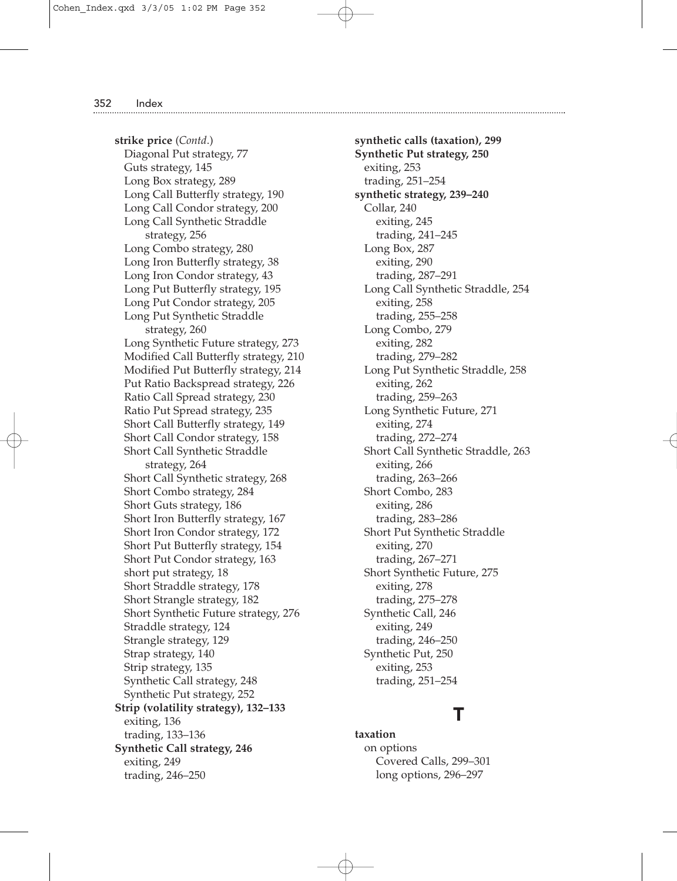**strike price** (*Contd*.) Diagonal Put strategy, 77 Guts strategy, 145 Long Box strategy, 289 Long Call Butterfly strategy, 190 Long Call Condor strategy, 200 Long Call Synthetic Straddle strategy, 256 Long Combo strategy, 280 Long Iron Butterfly strategy, 38 Long Iron Condor strategy, 43 Long Put Butterfly strategy, 195 Long Put Condor strategy, 205 Long Put Synthetic Straddle strategy, 260 Long Synthetic Future strategy, 273 Modified Call Butterfly strategy, 210 Modified Put Butterfly strategy, 214 Put Ratio Backspread strategy, 226 Ratio Call Spread strategy, 230 Ratio Put Spread strategy, 235 Short Call Butterfly strategy, 149 Short Call Condor strategy, 158 Short Call Synthetic Straddle strategy, 264 Short Call Synthetic strategy, 268 Short Combo strategy, 284 Short Guts strategy, 186 Short Iron Butterfly strategy, 167 Short Iron Condor strategy, 172 Short Put Butterfly strategy, 154 Short Put Condor strategy, 163 short put strategy, 18 Short Straddle strategy, 178 Short Strangle strategy, 182 Short Synthetic Future strategy, 276 Straddle strategy, 124 Strangle strategy, 129 Strap strategy, 140 Strip strategy, 135 Synthetic Call strategy, 248 Synthetic Put strategy, 252 **Strip (volatility strategy), 132–133** exiting, 136 trading, 133–136 **Synthetic Call strategy, 246** exiting, 249 trading, 246–250

**synthetic calls (taxation), 299 Synthetic Put strategy, 250** exiting, 253 trading, 251–254 **synthetic strategy, 239–240** Collar, 240 exiting, 245 trading, 241–245 Long Box, 287 exiting, 290 trading, 287–291 Long Call Synthetic Straddle, 254 exiting, 258 trading, 255–258 Long Combo, 279 exiting, 282 trading, 279–282 Long Put Synthetic Straddle, 258 exiting, 262 trading, 259–263 Long Synthetic Future, 271 exiting, 274 trading, 272–274 Short Call Synthetic Straddle, 263 exiting, 266 trading, 263–266 Short Combo, 283 exiting, 286 trading, 283–286 Short Put Synthetic Straddle exiting, 270 trading, 267–271 Short Synthetic Future, 275 exiting, 278 trading, 275–278 Synthetic Call, 246 exiting, 249 trading, 246–250 Synthetic Put, 250 exiting, 253 trading, 251–254

### T

**taxation** on options Covered Calls, 299–301 long options, 296–297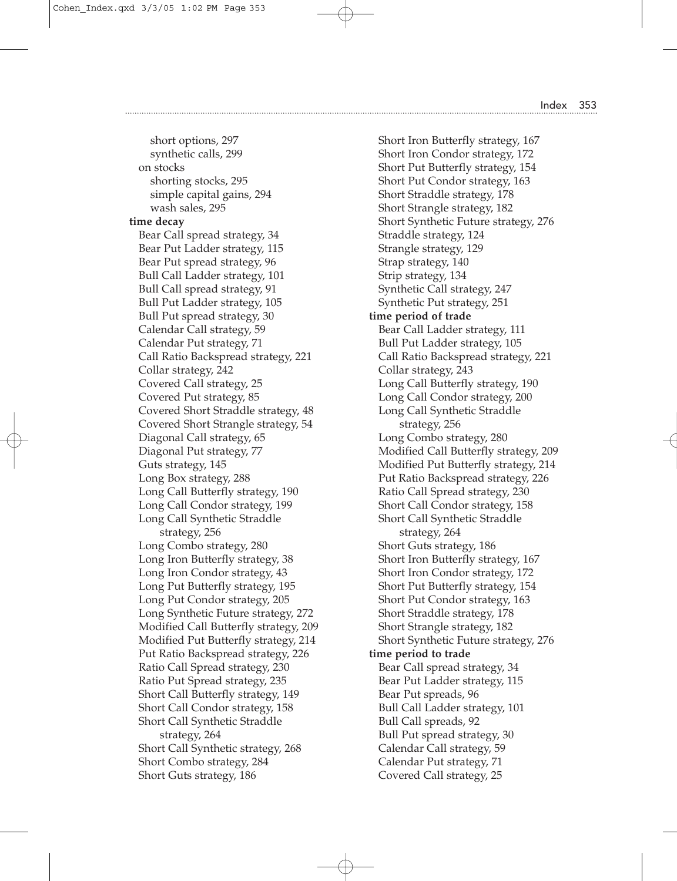Cohen\_Index.qxd 3/3/05 1:02 PM Page 353

on stocks

**time decay**

short options, 297

synthetic calls, 299 shorting stocks, 295 simple capital gains, 294 wash sales, 295 Bear Call spread strategy, 34 Bear Put Ladder strategy, 115 Bear Put spread strategy, 96 Bull Call Ladder strategy, 101 Bull Call spread strategy, 91 Bull Put Ladder strategy, 105 Bull Put spread strategy, 30 Calendar Call strategy, 59 Calendar Put strategy, 71 Call Ratio Backspread strategy, 221 Collar strategy, 242 Covered Call strategy, 25 Covered Put strategy, 85 Covered Short Straddle strategy, 48 Covered Short Strangle strategy, 54 Diagonal Call strategy, 65 Diagonal Put strategy, 77 Guts strategy, 145 Long Box strategy, 288 Long Call Butterfly strategy, 190 Long Call Condor strategy, 199 Long Call Synthetic Straddle strategy, 256 Long Combo strategy, 280 Long Iron Butterfly strategy, 38 Long Iron Condor strategy, 43 Long Put Butterfly strategy, 195 Long Put Condor strategy, 205 Long Synthetic Future strategy, 272 Modified Call Butterfly strategy, 209 Modified Put Butterfly strategy, 214 Put Ratio Backspread strategy, 226 Ratio Call Spread strategy, 230 Ratio Put Spread strategy, 235 Short Call Butterfly strategy, 149 Short Call Condor strategy, 158 Short Call Synthetic Straddle strategy, 264

Short Call Synthetic strategy, 268 Short Combo strategy, 284 Short Guts strategy, 186

Short Iron Butterfly strategy, 167 Short Iron Condor strategy, 172 Short Put Butterfly strategy, 154 Short Put Condor strategy, 163 Short Straddle strategy, 178 Short Strangle strategy, 182 Short Synthetic Future strategy, 276 Straddle strategy, 124 Strangle strategy, 129 Strap strategy, 140 Strip strategy, 134 Synthetic Call strategy, 247 Synthetic Put strategy, 251 **time period of trade** Bear Call Ladder strategy, 111 Bull Put Ladder strategy, 105 Call Ratio Backspread strategy, 221 Collar strategy, 243 Long Call Butterfly strategy, 190 Long Call Condor strategy, 200 Long Call Synthetic Straddle strategy, 256 Long Combo strategy, 280 Modified Call Butterfly strategy, 209 Modified Put Butterfly strategy, 214 Put Ratio Backspread strategy, 226 Ratio Call Spread strategy, 230 Short Call Condor strategy, 158 Short Call Synthetic Straddle strategy, 264 Short Guts strategy, 186 Short Iron Butterfly strategy, 167 Short Iron Condor strategy, 172 Short Put Butterfly strategy, 154 Short Put Condor strategy, 163 Short Straddle strategy, 178 Short Strangle strategy, 182 Short Synthetic Future strategy, 276 **time period to trade** Bear Call spread strategy, 34 Bear Put Ladder strategy, 115 Bear Put spreads, 96 Bull Call Ladder strategy, 101 Bull Call spreads, 92 Bull Put spread strategy, 30 Calendar Call strategy, 59 Calendar Put strategy, 71 Covered Call strategy, 25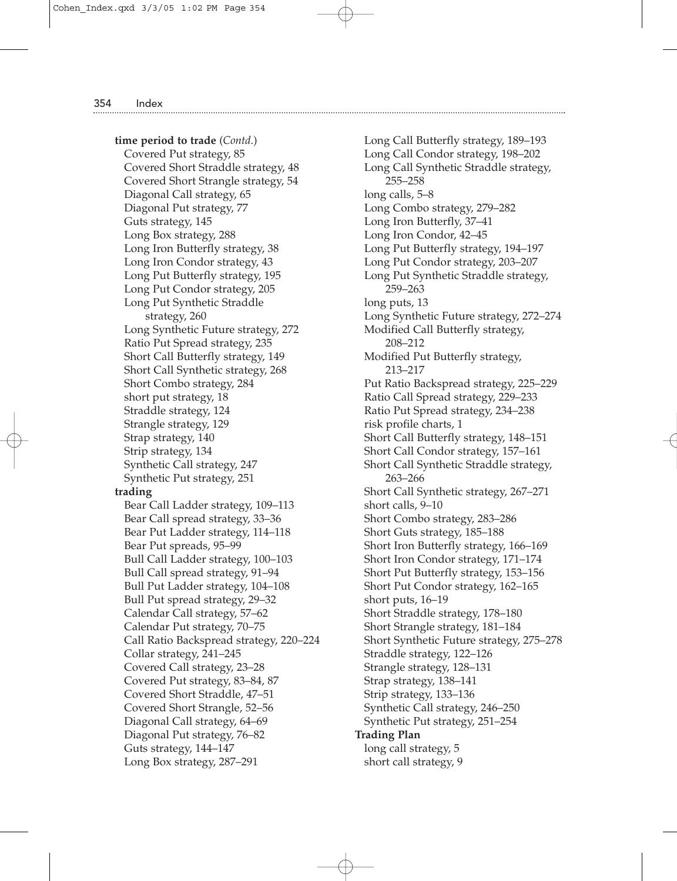**time period to trade** (*Contd*.) Covered Put strategy, 85 Covered Short Straddle strategy, 48 Covered Short Strangle strategy, 54 Diagonal Call strategy, 65 Diagonal Put strategy, 77 Guts strategy, 145 Long Box strategy, 288 Long Iron Butterfly strategy, 38 Long Iron Condor strategy, 43 Long Put Butterfly strategy, 195 Long Put Condor strategy, 205 Long Put Synthetic Straddle strategy, 260 Long Synthetic Future strategy, 272 Ratio Put Spread strategy, 235 Short Call Butterfly strategy, 149 Short Call Synthetic strategy, 268 Short Combo strategy, 284 short put strategy, 18 Straddle strategy, 124 Strangle strategy, 129 Strap strategy, 140 Strip strategy, 134 Synthetic Call strategy, 247 Synthetic Put strategy, 251 **trading** Bear Call Ladder strategy, 109–113 Bear Call spread strategy, 33–36 Bear Put Ladder strategy, 114–118 Bear Put spreads, 95–99 Bull Call Ladder strategy, 100–103 Bull Call spread strategy, 91–94 Bull Put Ladder strategy, 104–108 Bull Put spread strategy, 29–32 Calendar Call strategy, 57–62 Calendar Put strategy, 70–75 Call Ratio Backspread strategy, 220–224 Collar strategy, 241–245 Covered Call strategy, 23–28 Covered Put strategy, 83–84, 87 Covered Short Straddle, 47–51 Covered Short Strangle, 52–56 Diagonal Call strategy, 64–69 Diagonal Put strategy, 76–82 Guts strategy, 144–147 Long Box strategy, 287–291

Long Call Butterfly strategy, 189–193 Long Call Condor strategy, 198–202 Long Call Synthetic Straddle strategy, 255–258 long calls, 5–8 Long Combo strategy, 279–282 Long Iron Butterfly, 37–41 Long Iron Condor, 42–45 Long Put Butterfly strategy, 194–197 Long Put Condor strategy, 203–207 Long Put Synthetic Straddle strategy, 259–263 long puts, 13 Long Synthetic Future strategy, 272–274 Modified Call Butterfly strategy, 208–212 Modified Put Butterfly strategy, 213–217 Put Ratio Backspread strategy, 225–229 Ratio Call Spread strategy, 229–233 Ratio Put Spread strategy, 234–238 risk profile charts, 1 Short Call Butterfly strategy, 148–151 Short Call Condor strategy, 157–161 Short Call Synthetic Straddle strategy, 263–266 Short Call Synthetic strategy, 267–271 short calls, 9–10 Short Combo strategy, 283–286 Short Guts strategy, 185–188 Short Iron Butterfly strategy, 166–169 Short Iron Condor strategy, 171–174 Short Put Butterfly strategy, 153–156 Short Put Condor strategy, 162–165 short puts, 16–19 Short Straddle strategy, 178–180 Short Strangle strategy, 181–184 Short Synthetic Future strategy, 275–278 Straddle strategy, 122–126 Strangle strategy, 128–131 Strap strategy, 138–141 Strip strategy, 133–136 Synthetic Call strategy, 246–250 Synthetic Put strategy, 251–254 **Trading Plan** long call strategy, 5 short call strategy, 9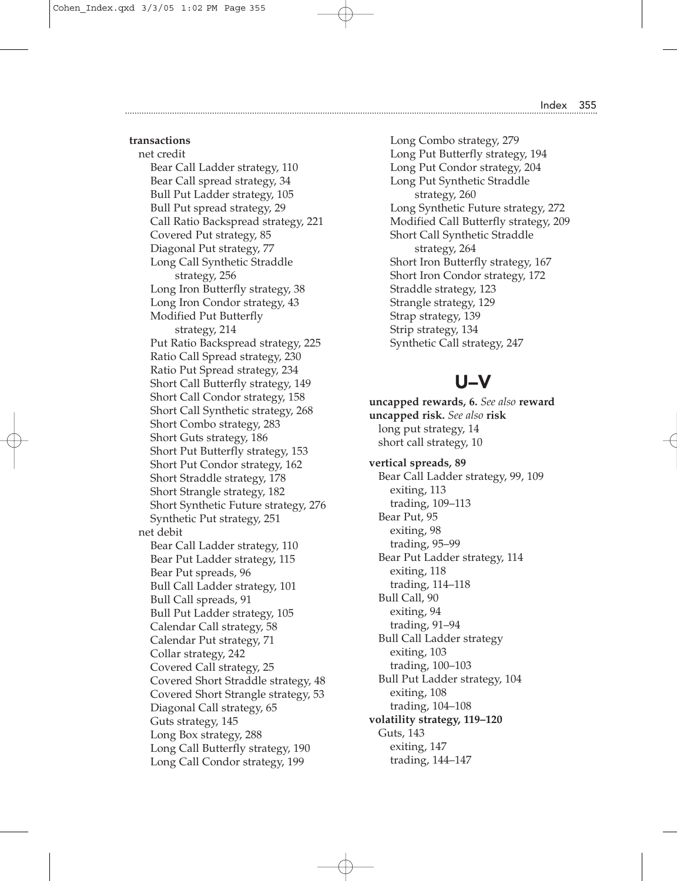### **transactions**

net credit Bear Call Ladder strategy, 110 Bear Call spread strategy, 34 Bull Put Ladder strategy, 105 Bull Put spread strategy, 29 Call Ratio Backspread strategy, 221 Covered Put strategy, 85 Diagonal Put strategy, 77 Long Call Synthetic Straddle strategy, 256 Long Iron Butterfly strategy, 38 Long Iron Condor strategy, 43 Modified Put Butterfly strategy, 214 Put Ratio Backspread strategy, 225 Ratio Call Spread strategy, 230 Ratio Put Spread strategy, 234 Short Call Butterfly strategy, 149 Short Call Condor strategy, 158 Short Call Synthetic strategy, 268 Short Combo strategy, 283 Short Guts strategy, 186 Short Put Butterfly strategy, 153 Short Put Condor strategy, 162 Short Straddle strategy, 178 Short Strangle strategy, 182 Short Synthetic Future strategy, 276 Synthetic Put strategy, 251 net debit Bear Call Ladder strategy, 110 Bear Put Ladder strategy, 115 Bear Put spreads, 96 Bull Call Ladder strategy, 101 Bull Call spreads, 91 Bull Put Ladder strategy, 105 Calendar Call strategy, 58 Calendar Put strategy, 71 Collar strategy, 242 Covered Call strategy, 25 Covered Short Straddle strategy, 48 Covered Short Strangle strategy, 53 Diagonal Call strategy, 65 Guts strategy, 145 Long Box strategy, 288 Long Call Butterfly strategy, 190 Long Call Condor strategy, 199

Long Combo strategy, 279 Long Put Butterfly strategy, 194 Long Put Condor strategy, 204 Long Put Synthetic Straddle strategy, 260 Long Synthetic Future strategy, 272 Modified Call Butterfly strategy, 209 Short Call Synthetic Straddle strategy, 264 Short Iron Butterfly strategy, 167 Short Iron Condor strategy, 172 Straddle strategy, 123 Strangle strategy, 129 Strap strategy, 139 Strip strategy, 134 Synthetic Call strategy, 247

### U–V

**uncapped rewards, 6.** *See also* **reward uncapped risk.** *See also* **risk** long put strategy, 14 short call strategy, 10 **vertical spreads, 89** Bear Call Ladder strategy, 99, 109 exiting, 113 trading, 109–113 Bear Put, 95 exiting, 98 trading, 95–99 Bear Put Ladder strategy, 114 exiting, 118 trading, 114–118 Bull Call, 90 exiting, 94 trading, 91–94 Bull Call Ladder strategy exiting, 103 trading, 100–103 Bull Put Ladder strategy, 104 exiting, 108 trading, 104–108 **volatility strategy, 119–120** Guts, 143 exiting, 147 trading, 144–147